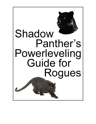

# Shadow Panther's Powerleveling Guide for Rogues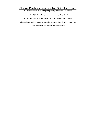# Shadow Panther's Powerleveling Guide for Rogues

A Guide for Powerleveling Rogues Quickly and Efficiently

Updated 9/24/12 (All information current as of Patch 5.0.5)

Created by Shadow Panther (Zodar on the US Earthen Ring Server)

Shadow Panther's Powerleveling Guide for Rogues © 2012 ShadowPanther.net

World of Warcraft © 2012 Blizzard Entertainment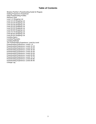# **Table of Contents**

[Shadow Panther's Powerleveling Guide for Rogues](#page-3-0) [Getting Prepared to Powerlevel](#page-3-1) [Initial Powerleveling Profiles](#page-3-2) [Heirloom Gear](#page-4-0) [Level 1-9 Shopping List](#page-6-0) [Level 10-19 Shopping List](#page-8-0) [Level 20-29 Shopping List](#page-9-0) [Level 30-39 Shopping List](#page-10-0) [Level 40-49 Shopping List](#page-11-0) [Level 50-59 Shopping List](#page-12-0) [Level 60-69 Shopping List](#page-12-1) [Level 70-79 Shopping List](#page-13-0) [Level 80-84 Shopping List](#page-13-1) [Level 85-90 Shopping List](#page-13-2) [Leveling Specs](#page-15-0) [Leveling Playstyles](#page-18-0) [Leveling Methods](#page-20-0) [The Powerleveling Experience: Level-by-Level](#page-22-0) [Powerleveling Experience: Levels 1-9](#page-22-1) [Powerleveling Experience: Levels 10-19](#page-25-0) [Powerleveling Experience: Levels 20-29](#page-29-0) [Powerleveling Experience: Levels 30-39](#page-32-0) [Powerleveling Experience: Levels 40-49](#page-35-0) [Powerleveling Experience: Levels 50-59](#page-37-0) [Powerleveling Experience: Levels 60-69](#page-39-0) [Powerleveling Experience: Levels 70-79](#page-41-0) [Powerleveling Experience: Levels 80-85](#page-44-0) [Powerleveling Experience: Levels 86-90](#page-46-0) [Change Log](#page-47-0)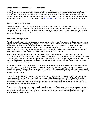## <span id="page-3-0"></span>**Shadow Panther's Powerleveling Guide for Rogues**

Leveling a new character can be a slow and tedious process. This guide has been developed to help you powerlevel your Rogue in a quick and efficient manner, while ensuring that he or she is as powerful as can be throughout the leveling journey. This guide is specifically designed for established players who have the necessary resources to properly powerlevel a character, however new players can find a wealth of useful information in this guide to help them master their Rogue. Refer to the charts available at [ShadowPanther.net](http://shadowpanther.net/) when researching items listed in this guide.

# <span id="page-3-1"></span>**Getting Prepared to Powerlevel**

The key to powerleveling a character is knowing exactly what you'll need to be most effective at your class. Your powerleveling efficiency is going to be directly tied to how much gold, gear and supplies you can apply to that effort. For Rogues, that means having the best weapons, gear and consumables to minimize your downtime and maximize your leveling speed. The first thing you need to do is evaluate the amount of resources you'll have available to powerlevel your Rogue.

## <span id="page-3-2"></span>**Initial Powerleveling Profiles**

Powerleveling a Rogue is going to be easier for some and harder for others. Your current, available resources play a big part in that. If you've been playing for quite a while, and have amassed a significant amount of resources, then you should have little trouble powerleveling your Rogue. However, if you've just started playing World of Warcraft or haven't played for long, then you're going to have a tougher time properly outfitting your Rogue for maximum powerleveling efficiency. Listed below are several "Initial Powerleveling Profiles" that describe the various states of progression from which your Rogue may begin his own journey of powerleveling.

Bankrolled: You have every possible resource available to you. You've saved up 10,000 gold or more and you've stockpiled numerous Justice Points and Honor Points so you can pretty much buy anything you might need. You are a valued member of an established guild and you can get access to any enchant or craftable you could ever want. You'll have very little trouble powerleveling and should be able to easily upgrade and outfit your Rogue with the best gear and consumables along the way.

Privileged: You have a fairly significant amount of resources available to you. You've saved a few thousand gold for this venture and you've collected a reasonable amount of Justice Points and/or Honor Points to get your Rogue properly geared up. You're most likely a veteran member of a medium sized guild that has had moderate success with endgame content. You won't have too much trouble powerleveling your Rogue and should be able to upgrade most of your gear along the way.

Casual: You haven't made any considerable effort to prepare for powerleveling your Rogue, but you do have some resources available to you. You have a modest amount of gold and you've collected a few Justice Points and/or Honor Points with your current characters. You may be a member in a smaller, casual guild, but you don't expect to be able to rely on them for much help. You may have some trouble properly powerleveling your Rogue and getting fully geared up with the best possible items.

Pauper: You're either a new player or an experienced player starting a Rogue on a new server (or an opposing faction on the same server). You have virtually no gold or other resources available to you. You're going to have a tough time powerleveling your Rogue, but if you pay close attention to this guide, you should still see significant gains in your leveling speed and effectiveness.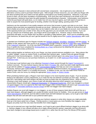## <span id="page-4-0"></span>**Heirloom Gear**

Powerleveling a character is best achieved with several basic components – lots of gold and a nice collection of alternative currency used to purchase Heirloom gear. With enough of these resources, you can outfit your Rogue with just about anything that you'd need to be fully geared up throughout your leveling experience. Heirlooms, if you have access to them, are the basic foundation of powerleveling. Ever since they were introduced in the Wrath of the Lich King expansion, heirlooms have been the gold standard for powerleveling a character. Unfortunately, most heirlooms cannot be purchased with gold alone, so no matter how rich you may be in-game, you'll still need to invest time in order to acquire the most powerful gear for leveling, whether it be through raiding, questing and/or PVP.

Heirlooms are the equivalent of rare-quality weapons and armor that increase in power and stats as you level. Some heirloom items even give you experience bonuses as you level. Heirlooms are "BoA" or Bind on Account (technically Bind to Battle.net account), which means they can be mailed to other alts on your Battle.net account, even characters of the opposing faction (as a matter of fact, they are the only items you can actually mail cross faction). If you can farm up a decent set of heirloom gear, your Rogue will be much better for it. However, keep in mind that class restrictions still apply, so your Rogue won't be able to use Mail or Plate heirloom gear. And if you're considering using Cloth heirlooms, be aware that you won't get the benefit of the 5% Agility bonus from [Leather Specialization](http://www.wowhead.com/spell=86531) after Level 50.

A standard set of heirloom gear for Rogues includes two [heirloom weapons,](http://www.wowhead.com/items=2?filter=qu=7;sl=21:13;ub=4;cr=23:24;crs=3:3;crv=0:0) [shoulders,](http://www.wowhead.com/items=4.2?filter=qu=7%3Bsl=3%3Bub=4%3Bcr=23%3A24%3Bcrs=3%3A3%3Bcrv=0%3A0) [chestpiece](http://www.wowhead.com/items=4.2?filter=qu=7%3Bsl=5%3Bub=4%3Bcr=23%3A24%3Bcrs=3%3A3%3Bcrv=0%3A0) and tw[o trinkets.](http://www.wowhead.com/items=4.-4?filter=qu=7%3Bsl=5%3Bub=4%3Bcr=23%3A24%3Bcrs=3%3A3%3Bcrv=0%3A0) In addition to that, players also have access to an [heirloom ring](http://www.wowhead.com/?item=50255) through Fishing as well as a [cloak](http://www.wowhead.com/item=62039) and a [helm](http://www.wowhead.com/item=61937) introduced in the [Cataclysm](http://www.wowpedia.org/Cataclysm) expansion. As of the new Mists of Pandaria (MoP) expansion, [heirloom pants](http://www.wowhead.com/item=62026) will be available to those in guilds who have completed the [Working Better as a Team](http://www.wowhead.com/achievement=6626) achievement by obtaining 600 skill points in all professions and secondary professions.

When putting together an heirloom set for your Rogue, you have several avenues available to you. Many players like to collect "badges", known as Justice Points, to purchase their heirloom gear. Justice Points are gained through raiding and 5-man heroics/dungeons. Another way to purchase heirloom gear is by using [Honor Points](http://www.wowpedia.org/Honor_Points) earned through PVP. A third way you can purchase heirlooms, as of patch 4.3, is with [Darkmoon Prize Tickets,](http://ptr.wowhead.com/currency=515) earned at the [Darkmoon Faire.](http://www.wowpedia.org/Darkmoon_Faire)

The final way to get heirloom gear is by collecting [Champion's Seals](http://www.wowhead.com/item=44990) earned through the [Argent Tournament](http://www.wowpedia.org/Argent_Tournament) in northern Icecrown. This last method requires that you have a [Crusader](http://www.wowpedia.org/Crusader_%28title%29) title, which has been made siginificantly easier to get with the addition of [Faction Tabards](http://www.wowhead.com/items=4.-7?filter=cr=107;crs=0;crv=reputation) and [Commendation Badges](http://www.wowhead.com/search?q=Commendation+Badge) that help you earn extra reputation. Previously, heirloom gear could only be purchased in a few specific Northrend locations, but [heirloom vendors](http://www.wowhead.com/npcs=7?filter=na=Heirlooms;ex=on) were added to major cities in patch 4.1 to simplify the process. In addition to that, you can now trade Honor Points for Justice Points, and vice versa, by visiting the appropriate [Honor Vendor](http://www.wowhead.com/npcs=7?filter=na=Honor+Trade+Goods;ex=on) or [Justice Vendor.](http://www.wowhead.com/npcs=7?filter=na=Justice+Trade+Goods;ex=on)

When prioritizing heirloom gear, a Rogue's main hand weapon is his most important piece of gear. If you're severely limited in the alternative currency department, try to make this the one heirloom purchase you don't skip. Having a high DPS, hard-hitting main hand weapon will help you level up faster than any experience bonus. When it comes to choosing a main hand weapon, your choice of spec will ultimately determine which weapons you should get. Assassination Rogues should get a [Balanced Heartseeker](http://www.wowhead.com/?item=42944) (or [Sharpened Scarlet Kris,](http://www.wowhead.com/item=44091) which was changed to a slower 1.8 speed dagger in the 5.0.4 patch) for their main hand dagger while Combat Rogues will want to get Venerable Mass [of McGowan](http://www.wowhead.com/?item=48716) or [Venerable Dal'Rend's Sacred Charge](http://www.wowhead.com/?item=42945) as their non-dagger main hand weapon.

Subtlety Rogues can excel with daggers or non-daggers, so any of those weapons listed above will work fine as a main hand weapon, although daggers are usually the better overall choice for Subtlety. Once you get access to [Dual](http://www.wowpedia.org/Dual_Talent_Specialization)  [Talent Specialization](http://www.wowpedia.org/Dual_Talent_Specialization) at level 30, you'll be able to switch back and forth between two specs, so try to get a main hand weapon that will work well with both of your preferred talent specs.

One additional factor to consider when selecting your heirloom weapons is what other classes you might potentially level up in the future aside from a Rogue. Picking swords or maces gives you more flexibility than daggers, since Rogues are pretty much the only class that benefits from melee daggers.

Once you've secured your main hand BoA weapon, you'll want to get a good offhand heirloom dagger to go along with it. Having a dagger in your offhand will allow you to apply offhand poisons quicker, especially now that all poisons have been changed to percentage-based procs in patch 5.0.4, rather than the old Procs-Per-Minute (PPM) system.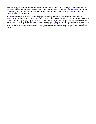After selecting your heirloom weapons, the next most important BoA items you'll want to get are the armor items that provide experience bonuses. After you've acquired those items, go ahead and get the [heirloom trinkets](http://www.wowhead.com/items=4.-4?filter=qu=7;cr=23;crs=3;crv=0) to complete your heirloom set. Note: As of patch 5.0.4, you no longer have a ranged weapon slot, so the [heirloom ranged](http://www.wowhead.com/items=2?filter=qu=7;sl=15;cr=23;crs=3;crv=0)  [weapons](http://www.wowhead.com/items=2?filter=qu=7;sl=15;cr=23;crs=3;crv=0) will provide no benefit.

In addition to heirloom gear, there are other ways you can greatly enhance your leveling experience. A set of [Herbalist's Gloves](http://www.wowhead.com/item=7349) enchanted with [+15 Agility](http://www.wowhead.com/?spell=25080) and a cloak enchanted with [Stealth](http://www.wowhead.com/?spell=25083) (which actually provides 8 Agility & 8 Dodge Rating as of 4.0.3a) will last you for dozens of levels and can really improve your DPS and survivability in the earlier stages of leveling. Enchanting a set of Level 1 bracers with [+9 Strength](http://www.wowhead.com/?spell=20010) can also give you a nice AP boost (yes, Strength still provides AP for Rogues). And the best part is that most of those items can be freely traded to any other level 1 character to powerlevel them as well. Below you'll find detailed Powerleveling "Shopping Lists" for each level range.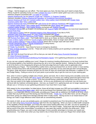# <span id="page-6-0"></span>**Level 1-9 Shopping List**

- 4 Bags Get the largest you can afford. The more space you have, the less trips you'll need to empty them.
- Plenty of gold for spending money (or mail a [sellable BoA item](http://www.wowhead.com/item=69209) to sell for starter gold if your alt is cross faction)
- Heirloom weapons enchanted with [+15 Agility](http://www.wowhead.com/?spell=23800) or [Crusader](http://www.wowhead.com/?spell=20034)
- [Stained Shadowcraft Cap](http://www.wowhead.com/item=61937) (or [Battered Jungle Hat](http://www.wowhead.com/item=45998) / [Authentic Jr. Engineer Goggles\)](http://www.wowhead.com/item=60222)
- Heirloom shoulders [\(Stained Shadowcraft Spaulders](http://www.wowhead.com/?item=42952) or [Exceptional Stormshroud Shoulders\)](http://www.wowhead.com/?item=44103)
- [Stained Shadowcraft Tunic](http://www.wowhead.com/?item=48689) (or [Cracked Leather Vest](http://www.wowhead.com/item=2127) / [Dirty Leather Vest\)](http://www.wowhead.com/item=85) enchanted with [Greater Stats](http://www.wowhead.com/?spell=20025)
- [Cracked Leather Belt](http://www.wowhead.com/item=2122) / [Dirty Leather Belt](http://www.wowhead.com/item=1835)
- [Stained Shadowcraft Pants](http://www.wowhead.com/item=62026) enchanted with [Light Armor Kit](http://www.wowhead.com/item=2304) (or [Haliscan Pantaloons](http://www.wowhead.com/item=38278) with [Rugged Armor Kit\)](http://www.wowhead.com/item=15564)
- 2 [Cracked Leather Boots](http://www.wowhead.com/?item=2123) / [Dirty Leather Boots](http://www.wowhead.com/?item=210) enchanted with [Minor Speed](http://www.wowhead.com/?spell=13890) and [Greater Agility](http://www.wowhead.com/?spell=20023)
- [Cracked Leather Bracers](http://www.wowhead.com/item=2124) / [Dirty Leather Bracers](http://www.wowhead.com/item=1836) enchanted with [Superior Strength](http://www.wowhead.com/?spell=20010)
- 2 [Herbalist's Gloves](http://www.wowhead.com/item=7349) (BiS as of patch 4.2) enchanted with [Superior Agility](http://www.wowhead.com/?spell=25080) and [Gatherer](http://www.wowhead.com/spell=44506) (no more level requirement!) - [Dread Pirate Ring](http://www.wowhead.com/?item=50255)
- 2 [Swift Hand of Justice](http://www.wowhead.com/?item=42991) (and an [Inherited Insignia of the Alliance/Horde](http://www.wowhead.com/search?q=Inherited+Insignia) if you like to PVP)
- [Inherited Cape of the Black Baron](http://www.wowhead.com/item=62039) (or [Linen Cloak\)](http://www.wowhead.com/item=2570) enchanted with [Stealth](http://www.wowhead.com/?spell=25083)
- [Illustrious Guild Tabard](http://www.wowhead.com/item=69209) or [Renowned Guild Tabard](http://www.wowhead.com/item=69210) Work on Guild Reputation while you level
- 100 Rumsey [Rum Black Label](http://www.wowhead.com/item=21151#sold-by) You'll really want to stock up on these, as there's nothing better at low levels
- 5 [Elixir of Minor Agility](http://www.wowhead.com/item=2457) (Level 2) or [Scroll of Agility](http://www.wowhead.com/item=3012) (unfortunately, these no longer stack with each other)
- 5 [Elixir of Minor Defense](http://www.wowhead.com/item=5997) or [Elixir of Minor Fortitude](http://www.wowhead.com/item=2458) (these also no longer stack with each other)
- 5 [Rough Sharpening Stone](http://www.wowhead.com/item=2862) or [Rough Weightstone](http://www.wowhead.com/item=3239) (if using maces)
- 5 [Lesser Healing Potion](http://www.wowhead.com/item=858) (Level 3)
- 10 [Thistle Tea](http://www.wowhead.com/item=7676) (Level 5) Save these for burst or emergency situations
- 10 [Elixir of Water Breathing](http://www.wowhead.com/item=5996) (Level 8) These will come in handy anytime you're questing in underwater areas
- 160 [Linen Cloth](http://www.wowhead.com/item=2589)
- 160 [Wool Cloth](http://www.wowhead.com/item=2592)
- 260 [Silk Cloth](http://www.wowhead.com/item=4306) (to level First Aid up to 225 so that you can start off using [Heavy Runecloth Bandages\)](http://www.wowhead.com/item=14530)
- 20 [Heavy Runecloth Bandage](http://www.wowhead.com/item=14530)
- [Gnomish Army Knife](http://www.wowhead.com/item=40772)[/Skinning Knife/](http://www.wowhead.com/item=7005)[Mining Pick/](http://www.wowhead.com/item=2901)[Herbalist's Spade](http://www.wowhead.com/item=85663) +10 to gathering professions as of patch 5.0.4

As you can see, properly outfitting your Level 1 Rogue for maximum leveling effectiveness is a lot more involved than just throwing together a few heirlooms (assuming your alt is not of the opposite faction). Making the effort to get most or all of the items on this shopping list will give you that extra edge that you'll really come to appreciate when powerleveling your Rogue. The Cracked/Dirty Leather items can be purchased from an Armor vendor in most starting zones. Enchant those items with the best possible enchants so that they can be used well past their normal lifespan. The glove, cloak and bracer enchants will give you 55 more AP than you would have had otherwise, in addition to Crit and Dodge Rating. Putting an armor kit on your pants is just another way to get the most out of your starting gear.

Now, when it comes to getting multiple sets of boots, gloves and tools, this is where having extra versatility comes into play. Enchanting a set of boots with [Minor Speed](http://www.wowhead.com/?spell=13890) will enable you to increase your walking speed throughout those first slow 20 levels before you can ride a mount. If you find yourself facing a particularly tough enemy that you want to solo, then just switch to the Agility-enchanted boots. As far as your professions are concerned, you can boost your skill level with the Gatherer enchanted gloves. And now, as of patch 5.0.4, gathering tools are no longer required, but still give you a +10 bonus to your gathering professions if you have them in your bags.

With respect to the consumables I've listed above, those will all help increase your DPS and survivability in one way or another. The [Rumsey Rum Black Label,](http://www.wowhead.com/item=21151#sold-by) which can be purchased from Barkeep Kelly in the [Old Hillsbrad Foothills](http://www.wowpedia.org/Old_Hillsbrad_Foothills) instance, is an especially effective consumable, providing your Rogue with an additional 150 health at all times, which is better than any buff food you'll find during your first 30-40 levels. [Thistle Tea,](http://www.wowhead.com/item=7676) on the other hand, can be a Rogue's best friend, giving you added burst damage potential when it really counts. Having access to an instant boost of 100 Energy can make a huge difference when faced with an overwhelming situation.

The stacks of cloth, as you can probably guess, are needed to powerlevel your First Aid profession up to 225 so that you can start using [Heavy Runecloth Bandage](http://www.wowhead.com/item=14530) right from the very beginning. When you have so little health compared to the capability of those bandages, you'll enjoy the near-instant healing effect they can offer, not only for speeding up your leveling process but also for getting some quick health in the heat of battle. Using those high level bandages, as well as some of the other consumables I've pointed out, may seem like overkill, but that's the whole point. When powerleveling your Rogue, you want to take advantage of every possible advantage to increase your speed and effectiveness. You never know when you may need to rely on those items to save your Rogue from certain death.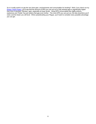So is it really worth it to get the very best gear, enchantments and consumables for leveling? Well, if you check out my [Rogue Twink Project,](http://shadowpanther.net/twinkproject.htm) you'll see that the amount of DPS you can put out in fully twinked gear is significantly higher than that of standard "Monkey" gear, especially at lower levels. Using DPS consumables like Agility potions, explosives and Thistle Tea just widens that gap even further. The more DPS you can put out, the less downtime you'll need, and the faster you will level. When powerleveling your Rogue, you'll want to consider every possible advantage you can get.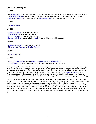# <span id="page-8-0"></span>**Level 10-19 Shopping List**

Level 10

- 20 [Instant Poison](http://www.wowhead.com/item=6947) Note: As of patch 5.0.4, you no longer have to buy poisons, you simply learn them as you level.
- 10 [Ez-Thro Dynamite](http://www.wowhead.com/?item=6714) The first Area of Effect (AoE) attack available to a Rogue unless you're an Engineer
- Embossed [Leather Pants](http://www.wowhead.com/item=4242) enchanted with a [Medium Armor Kit](http://www.wowhead.com/?item=2313) (unless you have the heirloom pants)

Level 12

- 10 [Healing Potion](http://www.wowhead.com/?item=929)

Level 13

- [Malachite Pendant](http://www.wowhead.com/item=25438) Jewelcrafting craftable
- [Tigerseye Band](http://www.wowhead.com/item=25439) Jewelcrafting craftable
- [Murloc Scale Belt](http://www.wowhead.com/item=5780) Leatherworking craftable
- [Deviate Scale Cloak](http://www.wowhead.com/item=6466) enchanted with [Stealth](http://www.wowhead.com/?spell=13882) (if you don't have the heirloom cloak)

Level 15

- [Inlaid Malachite Ring](http://www.wowhead.com/item=20821) Jewelcrafting craftable
- 5 [Elixir of Minor Accuracy](http://www.wowhead.com/item=45621) or [Scroll of Agility II](http://www.wowhead.com/item=1477)

Level 16

- 5 [Elixir of Defense](http://www.wowhead.com/item=3389)

Level 18

- 5 [Elixir of Lesser Agility](http://www.wowhead.com/?item=3390) (replaces [Elixir of Minor Accuracy](http://www.wowhead.com/item=45621) / [Scroll of Agility II\)](http://www.wowhead.com/item=1477)
- [Deviate Scale Belt](http://www.wowhead.com/item=6468) Another excellent crafted upgrade that requires no enchanting

Once you begin to level beyond the first few levels, you're going to want to have additional items ready and waiting, to allow you to quickly equip and go. That way, you won't have to go around searching for gear, because it will have already been prepared beforehand. Send these items in the mail so that they can be picked up at any nearby mailbox. Unfortunately, in Mists of Pandaria there is no mailbox in the Pandaren starting zone [\(Wandering Isle\)](http://www.wowpedia.org/Wandering_Isle), so new Pandaren characters will not be able to receive any gear until they choose a faction and leave the starting zone (around level 10-15). If you decide to level up a Pandaren Rogue, you'll need to adjust your shopping list accordingly.

To put together this package, purchase these items at the AH and/or hire players to craft them for you. The armor items in the 10-19 level range will be some of the first items with decent stats that you can use to replace some of your statless starter gear. In the case of the rings and necklace, those will probably be the first decent items you can actually equip in those specific slots. In this level range, you'll also get your first chance to upgrade some of your low level consumables to more potent versions. Once you've gotten together everything on this shopping list, put it all in the mail and send it to your Rogue to use after reaching level 10. Note: Worgen players should be sent all of their level 1-15 gear as soon as they start at level 1, since they won't find a mailbox after the starting point until at least level 14.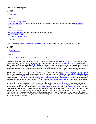# <span id="page-9-0"></span>**Level 20-29 Shopping List**

# Level 20

# - [Mithril Spurs](http://www.wowhead.com/item=7969)

# Level 21

- 10 [Greater Healing Potion](http://www.wowhead.com/item=1710)
- [Dark Leather Gloves](http://www.wowhead.com/item=4248) (or any gloves really, since these no longer appear to work) enchanted with [Riding Skill](http://www.wowhead.com/spell=13947)

# Level 25

- 10 [Elixir of Fortitude](http://www.wowhead.com/item=3825)
- 20 [Vanishing Powder](http://www.wowhead.com/item=64670) (Reagent required for switching out glyphs)
- [Glyph of Blurred Speed](http://www.wowhead.com/item=43379)
- Glyph [of Deadly Momentum](http://www.wowhead.com/spell=63254)

# Level 26-30

- Any cloth/leather [Helm of the Monkey/Tiger/Bear/Agility](http://www.wowhead.com/items=4.2?filter=qu=2;sl=1;minrl=25;maxrl=29;cr=3;crs=1;crv=0#0-3+1) or equivalent (if you don't have the heirloom helm)

# Level 27

- 10 [Elixir of Agility](http://www.wowhead.com/item=8949)

# Level 29

- 10 [Elixir of Greater Defense](http://www.wowhead.com/?item=8951) (if you don't already have plenty of [Elixir of Fortitude\)](http://www.wowhead.com/item=3825)

Level 20 is when you'll first get access to a mount, so I recommend getting a set of [Mithril Spurs](http://www.wowhead.com/item=7969) and the [Riding Skill](http://www.wowhead.com/spell=13947) enchantment on a pair of gloves to increase your mounted speed. In the past, [Dark Leather Gloves,](http://www.wowhead.com/item=4248) available at level 21, were the perfect item to put that [Riding Skill](http://www.wowhead.com/spell=13947) enchantment on (they used to give an added bonus to your Pick Lock skill, but don't appear to work now). Always keep your riding gear on your hot bar so that you can switch to it whenever you need to ride long distances. Make sure to switch back to your DPS gear before heading into battle.

If you happen to enjoy PVP, you may want to have your Rogue play some games of [Warsong Gulch](http://www.wowpedia.org/Warsong_Gulch) and [Arathi Basin](http://www.wowpedia.org/Arathi_Basin) during these levels so that you'll have enough Honor Points to pick up a set of [Highlander's](http://www.wowhead.com/?item=20114) or [Defiler's Leather Boots](http://www.wowhead.com/?item=20188) at level 28 to put your [Mithril Spurs](http://www.wowhead.com/item=7969) on, making those your general purpose "speed boots" to use while you're leveling. Before patch 4.0.1, you could purchase [Wintergrasp Commendations](http://www.wowhead.com/item=44115) with [Stone Keeper's Shards](http://www.wowhead.com/item=43228) to easily transfer honor to your new Rogue to get those boots, but unfortunately [Wintergrasp Commendations](http://www.wowhead.com/item=44115) are no longer available.

In this level range, you'll also get your first chance to enhance your talents with [Glyphs,](http://www.wowhead.com/items=16.4#0+3+1) so make sure that you've purchased every glyph that you might need ahead of time. With the removal of prime glyphs in patch 5.0.4, the early glyph choices have become fairly simplified, with [Glyph of Deadly Momentum](http://www.wowhead.com/spell=63254) and [Glyph of Blurred](http://www.wowhead.com/item=43379) Speed being the clear favorites for leveling. However, you might find specific situations where other glyphs can be more useful, so go ahead and collect any other glyphs you think you might need. Another key item to pick up for this range is a good Helm, since this will be your first chance to equip a decent one with stats. Unfortunately, those are in high demand with level 20-29 Twinks, so you may have a hard time finding one. Check the AH for both leather and cloth helms and you should eventually find one.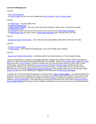# <span id="page-10-0"></span>**Level 30-39 Shopping List**

# Level 30

- 10 [Ez-Thro Dynamite II](http://www.wowhead.com/?item=18588)

- 10 [Scroll of Agility III](http://www.wowhead.com/item=4425) (only if you don't already have [Elixir of Agility](http://www.wowhead.com/item=8949) or [Elixir of Lesser Agility\)](http://www.wowhead.com/?item=3390)

Level 35

- 10 [Grilled Squid](http://www.wowhead.com/?item=13928) Your first Agility food!
- 10 [Superior Healing Potion](http://www.wowhead.com/?item=3928)
- 10 [Elixir of Water Walking](http://www.wowhead.com/item=8827) Nice way to save time when traveling in watery zones. Great when mounted!
- 100 [Mageweave Cloth](http://www.wowhead.com/item=4338)
- 80 [Runecloth](http://www.wowhead.com/item=14047) (to level First Aid up to 300 so that you can make and use [Netherweave Bandages\)](http://www.wowhead.com/spell=27032)
- 20 [Netherweave Cloth](http://www.wowhead.com/item=21877) (to make a stack of [Netherweave Bandages](http://www.wowhead.com/spell=27032) after reaching 300 in First Aid)

## Level 37

- [Aquamarine Signet of the Monkey](http://www.wowhead.com/?item=20964) – One of the few items that qualifies as BiS (Best in Slot) for 20+ levels.

## Level 38

- 10 [Elixir of Greater Agility](http://www.wowhead.com/?item=9187)
- 10 [Gift of Arthas](http://www.wowhead.com/?item=9088) Every little bit of damage helps, and it even benefits party members

## Level 39

- [Aquamarine Pendant of the Warrior](http://www.wowhead.com/?item=21755) – Especially useful if you enjoy leveling up in 5-man dungeon groups

This level range features a variety of consumable upgrades, including some offense-oriented, DPS consumables to replace your defense-oriented Stamina/Health/Defense consumables. Replace [Rumsey Rum Black Label](http://www.wowhead.com/item=21151#sold-by) with [Grilled](http://www.wowhead.com/?item=13928)  [Squid](http://www.wowhead.com/?item=13928) and swap in [Gift of Arthas](http://www.wowhead.com/?item=9088) for whatever Guardian elixir you may have been previously using. Both of these consumables, along with the upgraded [Ez-Thro Dynamite II](http://www.wowhead.com/?item=18588) and [Elixir of Greater Agility](http://www.wowhead.com/?item=9187) will help increase your potential DPS, allowing you to level up faster than you would normally. To make up for the loss of some of those defensive items, you can get [Aquamarine Pendant of the Warrior](http://www.wowhead.com/?item=21755) for the Stamina buff and you'll also be able to learn [Artisan First Aid](http://www.wowhead.com/spell=10846) at Level 35, allowing you to upgrade to the more powerful [Netherweave Bandages.](http://www.wowhead.com/spell=27032)

A specific item in this level range that deserves a special mention is [Elixir of Water Walking.](http://www.wowhead.com/item=8827) You wouldn't believe how much time you can save by popping one of those, mounting up and riding across the flat surface of the water for long distances. Have you ever gotten tired of waiting for the boat in [Feralas](http://www.wowpedia.org/Feralas) or wanted to completely avoid the crowds of undead in [Western Plaguelands?](http://www.wowpedia.org/Western_Plaguelands) How about those annoying trips around the hook of the road in [Dustwallow Marsh?](http://www.wowpedia.org/Dustwallow_Marsh) [Elixir of Water Walking](http://www.wowhead.com/item=8827) is the answer to those problems, providing fast, easy travel around various annoying obstacles.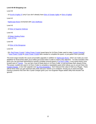# <span id="page-11-0"></span>**Level 40-49 Shopping List**

Level 40

- 10 [Scroll of Agility IV](http://www.wowhead.com/item=10309) (only if you don't already have [Elixir of Greater Agility](http://www.wowhead.com/?item=9187) or [Elixir of Agility\)](http://www.wowhead.com/item=8949)

Level 42

- [Nightscape Boots](http://www.wowhead.com/?item=8197) enchanted with [Cat's Swiftness](http://www.wowhead.com/?spell=34007)

Level 43

- 10 [Elixir of Superior Defense](http://www.wowhead.com/item=13445)

Level 45

- 10 [Major Healing Potion](http://www.wowhead.com/?item=13446)
- [Helm of Fire](http://www.wowhead.com/?item=8348)

Level 46

- 10 [Elixir of the Mongoose](http://www.wowhead.com/?item=13452)

Level 49

- 50+ [Red Power Crystal](http://www.wowhead.com/item=11186) / [Yellow Power Crystal](http://www.wowhead.com/item=11188) (quest items for Un'Goro Crater used to make [Crystal Charges\)](http://www.wowhead.com/?item=11566)
- 7 [Blue Power Crystal](http://www.wowhead.com/item=11184) & [Green Power Crystal](http://www.wowhead.com/item=11185) (also needed to complete the quest, or just gather them yourself)

This level range includes the usual consumable upgrades in addition to [Nightscape Boots,](http://www.wowhead.com/?item=8197) which can make you even stealthier for those times when you'd rather just avoid mobs in order to reach a key objective. I've also included a few items you can purchase beforehand to quickly complete several quests in [Un'Goro Crater,](http://www.wowpedia.org/Ungoro_Crater) a very-quest-heavy zone located west of [Tanaris.](http://www.wowpedia.org/Tanaris) You can farm most of these items in Un'Goro Crater, or just purchase them ahead of time. The power crystals are used in Un'Goro Crater to complete a repeatable quest which allows you to convert them into [Crystal Charges,](http://www.wowhead.com/?item=11566) a nice AoE upgrade over [Ez-Thro Dynamite II.](http://www.wowhead.com/?item=18588) Don't discount the value of AoE as a Rogue. There will be times when you get swarmed with mobs and your Vanish is on cooldown, forcing you to stand and fight. Having a powerful AoE item like Crystal Charges gives your non-Engineer Rogue added utility that shouldn't be ignored.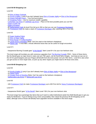# <span id="page-12-0"></span>**Level 50-59 Shopping List**

# Level 50

- 10 [Elixir of Major Fortitude](http://www.wowhead.com/?item=32062)
- 10 [Scroll of Agility V](http://www.wowhead.com/?item=27498) (only if you don't already have [Elixir of Greater Agility](http://www.wowhead.com/?item=9187) or [Elixir of the Mongoose\)](http://www.wowhead.com/?item=13452)
- 10 [Insane Strength Potion](http://www.wowhead.com/item=22828) Your first burst potion!
- 10 [Sneaking Potion](http://www.wowhead.com/?item=22826) Use for maximum stealth capability
- [Cobrahide Leg Armor](http://www.wowhead.com/?spell=35549) or [Clefthide Leg Armor](http://www.wowhead.com/item=29534) Place on the best possible pants you can find
- [Glyph of Safe Fall](http://www.wowhead.com/item=43378)
- [Glyph of Evasion](http://www.wowhead.com/spell=56799)
- 60 [Netherweave Cloth](http://www.wowhead.com/item=21877) (to level First Aid up to 350 so that you can use [Frostweave Bandages\)](http://www.wowhead.com/spell=45545)
- 20 [Frostweave Cloth](http://www.wowhead.com/item=33470) (to make a stack of [Frostweave Bandages](http://www.wowhead.com/spell=45545) after reaching 350 in First Aid)

## Level 55

- 10 [Super Healing Potion](http://www.wowhead.com/?item=22829)
- 10 [Elixir of Major Agility](http://www.wowhead.com/?item=22831)
- 10 [Warp Burger](http://www.wowhead.com/?item=27659) or [Grilled Mudfish](http://www.wowhead.com/?item=27664)
- 10 [Lesser Rune of Warding](http://www.wowhead.com/?item=23559) (Note: Can't be used on the heirloom chestpiece)
- 10 [Flame Cap](http://www.wowhead.com/?item=22788) A nice little 1 minute offensive boost that can be useful on tough encounters

## Level 57+

- Inexpensive Burning Crusade gear ["of the Bandit"](http://www.wowhead.com/items=4?filter=ty=2:-3:-6:-2;minle=81;minrl=57;maxrl=59;cr=3:128;crs=1:4;crv=0:0#0+3+1) (Item Level 81+) for your non-heirloom slots

This level range will inundate you with numerous upgrades from [The Burning Crusade](http://www.wowpedia.org/The_Burning_Crusade) (TBC). Some of these items, like the Bandit gear (a major boost in stats over pre-TBC gear), can be found fairly cheaply. Just keep an eye out on the AH for good bargains and your Rogue will benefit from the extra power over pre-TBC items. Level 50 is also when you get access to more Glyph slots, so pick up any other Glyphs you might need to fill those extra slots.

# <span id="page-12-1"></span>**Level 60-69 Shopping List**

#### Level 60

- 10 [Scroll of Agility VI](http://www.wowhead.com/item=33457) (only if you don't already have [Elixir of Major Agility](http://www.wowhead.com/?item=22831) or [Elixir of the Mongoose\)](http://www.wowhead.com/?item=13452)
- 10 [Haste Potion](http://www.wowhead.com/?item=22838)
- 10 [Greater Rune of Warding](http://www.wowhead.com/?item=25521) (Note: Can't be used on the heirloom chestpiece)
- [Nethercobra Leg Armor](http://www.wowhead.com/item=29535) or [Nethercleft Leg Armor](http://www.wowhead.com/item=29536)

# Level 65

- 100 [Frostweave Cloth](http://www.wowhead.com/item=33470) (to mak[e Frostweave Bandages](http://www.wowhead.com/spell=45545) up to 400 First Aid for [Heavy Frostweave Bandages\)](http://www.wowhead.com/spell=45546)

# Level 67+

- Inexpensive WotLK gear ["of the Bandit"](http://www.wowhead.com/items=4?filter=ty=2:-3:-6:-2;minle=130;minrl=67;maxrl=69;ub=4;cr=3:128;crs=1:4;crv=0:0#0+3-2+1) (Item Level 130+) for your non-heirloom slots

This level range has surprisingly few items that you'll want to collect beforehand aside from BoE Bandit gear to get you ready for Northrend. If you're itching to buy more consumables, then check the previous 50-59 Shopping List for ideas, although some of those will already have upgraded versions available in this level range.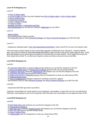# <span id="page-13-0"></span>**Level 70-79 Shopping List**

# Level 70

- 10 [Elixir of Mighty Agility](http://www.wowhead.com/?item=39666)
- 10 [Scroll of Agility VII](http://www.wowhead.com/?item=43463) (only if you don't already have [Elixir of Mighty Agility](http://www.wowhead.com/?item=39666) or [Elixir of Major Agility\)](http://www.wowhead.com/?item=22831)
- 10 [Runic Healing Potion](http://www.wowhead.com/?item=33447)
- 10 [Blackened Dragonfin](http://www.wowhead.com/?item=42999)
- 10 [Elixir of Mighty Fortitude](http://www.wowhead.com/?item=40078)
- 10 [Potion of Speed](http://www.wowhead.com/?item=40211)
- [Nerubian Leg Armor](http://www.wowhead.com/item=38372) or [Jormungar Leg Armor](http://www.wowhead.com/item=38371)
- [Eternal Belt Buckle](http://www.wowhead.com/item=41611) with the best pre-Cataclysm [Agility gem](http://www.wowhead.com/items=3?filter=ty=0:1:2:3:4:5;cr=21:99:82;crs=1:12:5;crv=0:0:40001#0-12+1) you can afford

# Level 75

- [Glyph of Sprint](http://www.wowhead.com/spell=56811)
- Any remaining Minor Glyph you prefer
- 150 [Embersilk Cloth](http://www.wowhead.com/item=53010) (to make [Embersilk Bandages](http://www.wowhead.com/spell=74556) and [Heavy Embersilk Bandages](http://www.wowhead.com/spell=74557) up to 500 First Aid)

# Level 77+

- Inexpensive Cataclysm gear ["of the Stormblast/Galeburst/Windflurry"](http://www.wowhead.com/items=4?filter=ty=2:-3:-6:-2;minle=272;minrl=77;maxrl=79;ub=4;cr=3:128;crs=1:4;crv=0:0#0+3+1) (Item Level 272+) for your non-heirloom slots

This level range consists mainly of a few consumable upgrades and BoE gear from Cataclysm. Instead of Bandit gear, you'll now be looking for Stormblast/Galeburst/Windflurry gear that has a total of four useful stats per item. Avoid gear with Mastery as you cannot get any benefit from that stat until you reach level 80. Don't forget that you get two more Glyph slots at level 75, so check your Glyphs to make sure that you have all of your slots filled.

# <span id="page-13-1"></span>**Level 80-84 Shopping List**

Level 80

- 20 [Cataclysm Battle Elixirs](http://www.wowhead.com/items=0.2.1?filter=minrl=80;maxrl=80) or [Scroll of Agility IX](http://www.wowhead.com/item=63303) (get whatever you can find the cheapest on the AH)
- 1 [Drums of Forgotten Kings](http://www.wowhead.com/?item=49633) and [Runescroll of Fortitude](http://www.wowhead.com/?item=49632) (great for both solo and group leveling)
- 20 [Cataclysm Stat Food,](http://www.wowhead.com/items=0.5?filter=minle=81;minrl=80;maxrl=80;cr=86;crs=11;crv=0) preferably [Skewered Eel](http://www.wowhead.com/item=62669) (get whatever you can find the cheapest on the AH)
- 20 [Cataclysm Non-Stat Food](http://www.wowhead.com/items=0.5?filter=minrl=80;maxrl=80;cr=92:63;crs=1:1;crv=0:13000) (for general healing needs)
- 10 [Potion of the Tol'Vir](http://www.wowhead.com/item=58145) or [Deathblood Venom](http://www.wowhead.com/item=58142) (save for emergencies or when you need serious DPS)
- 10 [Mythical Healing Potion](http://www.wowhead.com/item=57191)
- 20 [Dust of Disappearance](http://www.wowhead.com/item=63388) (Reagent required for switching out level 81+ glyphs)
- 200 Windwool Cloth (to make [Windwool Bandage](http://www.wowhead.com/item=72985) and [Heavy Windwool Bandage](http://www.wowhead.com/item=72986) up to 600 First Aid)

# Level 83+

- Inexpensive BoE MoP gear (Item Level 364+)

Cataclysm consumables are vastly superior to pre-Cataclysm consumables, so pick some up if you can afford them. Otherwise, start keeping an eye out for inexpensive MoP BoE gear and consumables as you approach levels 83-85.

# <span id="page-13-2"></span>**Level 85-90 Shopping List**

Level 85

- 20 [MoP Battle Elixirs](http://www.wowhead.com/items=0.2?filter=minrl=85%3Bmaxrl=85) (get whatever you can find the cheapest on the AH)
- 20 [Runescroll of Fortitude II](http://www.wowhead.com/item=62251)
- 20 [MoP Stat Food,](http://www.wowhead.com/items=0.5?filter=minle=85;minrl=85;maxrl=85;cr=86;crs=11;crv=0) preferably [Sauteed Carrots](http://www.wowhead.com/item=74643) (get whatever you can find the cheapest on the AH)
- 20 [MoP Non-Stat Food](http://www.wowhead.com/items=0.5?filter=minrl=85;maxrl=85;cr=92;crs=1;crv=0) (for general healing needs)
- 10 [Master Healing Potion](http://www.wowhead.com/item=76097)
- 10 [Virmen's Bite](http://www.wowhead.com/item=76089) (save for emergencies or when you need serious DPS)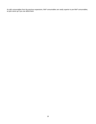As with consumables from the previous expansions, MoP consumables are vastly superior to pre-MoP consumables, so pick some up if you can afford them.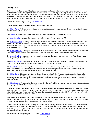# <span id="page-15-0"></span>**Leveling Specs**

Each class specialization (spec) has its unique advantages and disadvantages when it comes to leveling. One spec might be better at solo leveling while another works better in PVP or dungeon leveling situations. Some specs are good at several different methods of leveling. I recommend that you try out each spec from time to time to see which works best for your particular playstyle and leveling environment. The introduction of one or more powerful abilities deep in a spec could suddenly change the way you look at a particular talent build, so try to keep an open mind.

Combat (Questing/Dungeon Spec) – [Sample Spec](http://goo.gl/dRiaC)

Combat Specialization Bonuses (Level – Specialization: Description)

10 – [Blade Flurry:](http://www.wowhead.com/spell=13877) While active, your attacks strike an additional nearby opponent, but Energy regeneration is reduced by 20%. Lasts until canceled.

10 – [Vitality:](http://www.wowhead.com/spell=61329) Increases your Energy regeneration rate by 20% and your Attack Power by 25%.

10 – [Ambidexterity:](http://www.wowhead.com/spell=13852) Increases the damage you deal with your off-hand weapon by 75%.

20 – [Revealing Strike:](http://www.wowhead.com/spell=84617) 40 Energy. Melee Range. Instant. Requires Melee Weapon. An instant strike that deals 125% weapon damage and exposes the target's vulnerabilities, increasing the effectiveness of your offensive finishing moves on that target by 35%, and giving your Sinister Strikes a 20% chance to generate an extra combo point, for 18 sec. Awards 1 combo points.

30 – [Combat Potency:](http://www.wowhead.com/spell=35551) Gives your successful off-hand melee attacks and Main Gauche attacks a chance to generate 15 Energy. Slower off-hand weapons have a proportionally higher chance to trigger Combat Potency.

40 – [Adrenaline Rush:](http://www.wowhead.com/spell=13750) Instant. 3 min cooldown. Increases your Energy regeneration rate by 100% and your melee attack speed by 20% for 15 sec.

50 – [Restless Blades:](http://www.wowhead.com/spell=79096) Your damaging finishing moves reduce the remaining cooldown of your Adrenaline Rush, Killing Spree, Redirect, Shadow Blades, and Sprint abilities by 2 sec per combo point.

60 – [Bandit's Guile:](http://www.wowhead.com/spell=84654) Your training allows you to recognize and take advantage of the natural ebb and flow of combat. Your Sinister Strike and Revealing Strike abilities increase your damage dealt by up to 30%. After reaching this maximum, the effect will fade after 15 sec and the cycle will begin anew.

80 – [Killing Spree:](http://www.wowhead.com/spell=51690) 10 yd range. Instant. 2 min cooldown. Requires Melee Weapon. Step through the shadows from enemy to enemy within 10 yards, attacking an enemy every 0.5 sec with both weapons until 7 assaults are made, and increasing all damage done by 50% for the duration. Can hit the same target multiple times. Cannot hit invisible or stealthed targets.

80 – [Main Gauche:](http://www.wowhead.com/spell=76806) Your main-hand attacks have a X% chance (modified by Mastery) to grant you an attack that deals damage equal to 120% of a main-hand attack.

Combat has always been a very effective spec for leveling, and with the various updates in Mists of Pandaria, that still hasn't changed. Blade Flurry, despite receiving a penalty to energy regeneration, is still an amazing ability for dealing with multiple enemies. And since Blade Flurry can be used at all times (as of patch 4.0.6), you'll find that you'll seek out situations to use it as often as possible.

When leveling with Combat, you'll want to let Blade Flurry take out weaker targets while you focus your main attacks on the tougher opponent. A fully twinked Combat Rogue using Blade Flurry and Adrenaline Rush becomes a veritable whirling dervish, capable of mowing down several mobs at a time.

Combat is as equally good at solo leveling as it is at dungeon leveling. However, if you prefer to PVP while leveling, you may want to go with one of the other two specs. Combat does not provide the frontloaded burst damage that works best in PVP. Combat's damage is much more consistent and sustained which lends itself well to solo grinding and group leveling in dungeons.

Assassination (Questing/Dungeon/PVP Spec) - [Sample Spec](http://goo.gl/YNNax)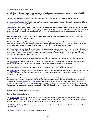Assassination Specialization Bonuses

10 – [Mutilate:](http://www.wowhead.com/spell=1329) 55 Energy. Melee Range. Instant. Requires Daggers. Instantly attacks with both weapons for 200% weapon damage plus an additional 223 with each weapon. Awards 2 combo point.

10 – [Improved Poisons:](http://www.wowhead.com/spell=14117) Increases the application chance of Deadly Poison and Wound Poison by 20%.

10 – [Assassin's Resolve:](http://www.wowhead.com/spell=84601) Requires Daggers. While wielding daggers, your maximum Energy is increased by 20 and your damage is increased by 20%.

20 – [Envenom:](http://www.wowhead.com/spell=32645) 35 Energy. Melee Range. Instant. Requires One-Handed Melee Weapon. Finishing move that deals instant poison damage proportional to the number of combo points on the target. Following the Envenom attack, your poison application chance is increased by 15%, for 1 sec plus an additional 1 sec per combo point. Replaces Eviscerate.

30 – [Seal Fate:](http://www.wowhead.com/spell=14190) When you critically strike with a single-target attack that generates combo points, you gain an additional combo point on your target.

40 – [Dispatch:](http://www.wowhead.com/spell=111240) 30 Energy. Melee Range. Instant. Requires Daggers. A vicious strike that exploits the vulnerability of foes with less than 35% health remaining, causing 400% weapon damage plus 486 (+ 100% of SpellPower) to the target. Requires a dagger in the main hand. Awards 1 combo point. Replaces Sinister Strike.

50 – [Venomous Wounds:](http://www.wowhead.com/spell=79134) Each time your Rupture or Garrote deals damage to an enemy that you have poisoned, you have a 75% chance to deal 685 additional Nature damage and to regain 10 Energy. Garrote will not trigger this effect if the enemy is also afflicted by your Rupture. If an enemy dies while afflicted by your Rupture, you regain energy proportional to the remaining Rupture duration.

60 – [Cut to the Chase:](http://www.wowhead.com/spell=51667) Your Eviscerate refreshes your Slice and Dice duration to its 5 combo point maximum.

70 – [Blindside:](http://www.wowhead.com/spell=121152) Performing a successful Mutilate has a 30% chance of leaving you in an advantageous position, enabling a single use of Dispatch with no energy cost, regardless of the enemy target's health.

80 – [Potent Poisons:](http://www.wowhead.com/spell=76803) Increases the damage done by your poisons by X% (modified by Mastery).

80 – [Vendetta:](http://www.wowhead.com/spell=79140) 30 yd range. Instant. 2 min cooldown. Marks an enemy for death, increasing all damage you deal to the target by 30% and granting you unerring vision of your target, regardless of concealments such as stealth and invisibility. Lasts 20 sec.

Assassination is a decent spec for leveling, relying on the power of hard hitting Mutilates along with a variety of dagger and poison-based talents. In the past, Assassination benefitted from having the useful combination of the talents Quickening (now [Fleet Footed\)](http://www.wowhead.com/spell=31209) and [Deadly Momentum](http://www.wowhead.com/item=45766) (now a glyph). However, those are now both available to all Rogues regardless of spec, so Assassination doesn't really offer many unique abilities for the purposes of leveling. Regardless, this spec can still be effective at both PVE and PVP, as long as you have a good set of daggers available to you.

Subtlety (Questing/PVP Spec) - [Sample Spec](http://goo.gl/smdo4)

Subtlety Specialization Bonuses

10 – [Hemorrhage:](http://www.wowhead.com/spell=16511) 30 Energy. Melee Range. Instant. Requires Melee Weapon. An instant strike that deals 140% weapon damage (203% if a dagger is equipped), causing profuse bleeding that deals an additional 50% of the direct strike's damage over 24 sec. Awards 1 combo point. Replaces Sinister Strike.

10 – [Master of Subtlety:](http://www.wowhead.com/spell=31223) Attacks made while stealthed and for 6 seconds after breaking stealth cause an additional 10% damage.

10 – [Sinister Calling:](http://www.wowhead.com/spell=31220) Increases your total Agility by 30%.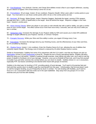20 – [Find Weakness:](http://www.wowhead.com/spell=91023) Your Ambush, Garrote, and Cheap Shot abilities reveal a flaw in your target's defenses, causing all your attacks to bypass 70% of that enemy's armor for 10 sec.

30 – [Premeditation:](http://www.wowhead.com/spell=14183) 30 yd range. Instant. 20 sec cooldown. Requires Stealth. When used, adds 2 combo points to your target. You must add to or use those combo points within 18 sec or the combo points are lost.

40 – [Backstab:](http://www.wowhead.com/spell=53) 35 Energy. Melee Range. Instant. Requires Daggers. Backstab the target, causing 275% weapon damage plus 383 (+ 100% of SpellPower) to the target. Must be behind the target. Requires a dagger in the main hand. Awards 1 combo point.

50 – [Honor Among Thieves:](http://www.wowhead.com/spell=51701) When any player in your party or raid critically hits with a spell or ability, you gain a combo point on your current target. This effect cannot occur more than once every 2 seconds, and can only occur while you are in combat.

60 – [Sanguinary Vein:](http://www.wowhead.com/spell=79147) Increases the damage of your Rupture ability by 50% and causes you to deal 20% additional damage to targets afflicted by your Rupture, Garrote, or Crimson Tempest.

70 – [Energetic Recovery:](http://www.wowhead.com/spell=79152) While your Slice and Dice ability is active, you regain 8 Energy every 2 sec.

80 – [Executioner:](http://www.wowhead.com/spell=76808) Increases the damage done by your finishing moves, and the effectiveness of your Slice and Dice, by X% (modified by Mastery).

80 – [Shadow Dance:](http://www.wowhead.com/spell=51713) Instant. 1 min cooldown. Enter the Shadow Dance for 8 sec, allowing the use of abilities that ordinarily require Stealth. The Energy cost of Ambush is reduced by 20 while Shadow Dance is active.

Similar to Assassination, Subtlety lost some of its uniqueness with the 5.0.4 patch, now that any Rogue can pick up [Nightstalker](http://www.wowhead.com/spell=14062) at level 15 and [Shadowstep](http://www.wowhead.com/spell=36554) at level 60. Despite the loss of those specialized talents, Subtlety still plays about the same as it did before. Instead of wading through enemies, chain killing mob after mob, you'll want to use the power of stealth to frontload a lot of your damage. However, once you've finished off that mob, you'll may find yourself in trouble if you pull other enemies into combat before you can return to stealth. Subtlety shines in 1-on-1 encounters, especially PVP, but leaves something to be desired when faced with groups of enemies.

Subtlety is the ideal spec for leveling in PVP, providing plenty of burst damage. You'll want to hit enemies fast and hard and then quickly return to stealth to get the most benefit from this spec. Unfortunately, that formula doesn't work so well for dungeon leveling, as you'll frequently be stuck in combat. For solo leveling with Subtlety, you'll want to focus on 1-on-1 encounters with lone mobs out in the open battlefield. Stay away from any groups of 3 or more enemies and you'll do fine with Subtlety.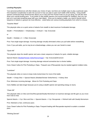# <span id="page-18-0"></span>**Leveling Playstyles**

Your personal preferences will often dictate your choice of spec, but there are multiple ways to play a particular spec. One important consideration to take into account is how you plan to open each battle while leveling. Using stealth openers (Ambush/Cheap Shot/Garrote) allows you to Sap and Pick Pocket mobs as you go along, but will also slow down your overall leveling pace. If you prefer to skip stealth openers (not recommended for Subtlety), then you can just run in and start smashing away with your main attack. Once you've started a battle, you need to decide which sequence of attacks is going to be most effective. Listed below are various leveling playstyles from which to choose.

"Surprise Attack"

This playstyle relies on a quick series of attacks from stealth to deal maximum frontloaded damage.

Stealth -> Premeditation -> Shadowstep -> Ambush -> 5pt. Eviscerate

or

Stealth -> Mutilate x 2 -> 4/5pt. Eviscerate

Pros: Fast single target damage. Incoming damage virtually eliminated unless you pull adds before restealthing.

Cons: If you pull adds, you're may be at a disadvantage, unless you can use Vanish to reset.

"Quick Kill"

This playstyle skips the stealth opener and uses a basic sequence of attacks for quick, reliable damage.

Special Attacks [\(Mutilate/](http://www.wowhead.com/spell=1329)[Sinister Strike](http://www.wowhead.com/spell=1752)[/Hemorrhage\)](http://www.wowhead.com/spell=16511) -> 5pt. Eviscerate/Envenom

Pros: Fast single target damage. Incoming damage reduced somewhat due to shorter battles.

Cons: Doesn't allow for Pick Pocketing or Saps. Frequent use of Recuperate may be needed against multiple mobs.

"Lockdown"

This playstyle relies on stuns to keep mobs locked down for most of the battle.

Stealth -> Cheap Shot -> Special Attacks (Mutilate/Sinister Strike/Hemo) -> Kidney Shot

Pros: Minimizes incoming damage. Allows for Pick Pocketing and Saps.

Cons: Battles can take longer because you're using a stealth opener and spending energy on stuns.

#### "Chain Kill"

This playstyle relies on Slice and Dice/Recuperate/Deadly Momentum to maximize damage and life gain as you move from mob to mob.

Special Attacks -> 5 pt. Slice and Dice -> Special Attacks -> 5 pt. Recuperate -> Refresh both with Deadly Momentum

Pros: Maintains a fast, continuous pace.

Cons: Doesn't allow for Pick Pocketing or Saps. Frequent healing with Recuperate required to sustain a constant pace.

"Whirling Dervish"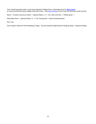This Combat playstyle relies on the burst potential of Blade Flurry, Adrenaline Rush & [Killing Spree](http://www.wowhead.com/?spell=51690) to round up and mow down multiple mobs all at once. Add **Fan of Knives** (FoK) to the mix once you reach level 66.

Sprint -> Evasion (round up mobs) -> Special Attack x 3 -> 3 pt. Slice and Dice -> Killing Spree ->

Adrenaline Rush -> Special Attack x 5 -> 5 pt. Recuperate -> Mow everything down

Pros: Fun.

Cons: Doesn't allow for Pick Pocketing or Saps. Can be suicidal (Cloak/Vanish if things go bad). Frequent healing.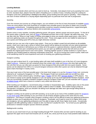# <span id="page-20-0"></span>**Leveling Methods**

Next you need to decide where and how you want to level up. Generally, most players level up by questing from zone to zone, but these days, players have the option of leveling up in a variety of ways, including using the Looking for Dungeon (LFD) tool, participating in Battlegrounds (BGs), group leveling and even good ol' grinding. I find it helpful to use each of these methods to a varying degree depending upon my particular level and rate of progression.

#### Questing

From the moment your journey as a Rogue begins, you can embark on the first of many thousands of available [quests.](http://www.wowpedia.org/Quest) There are some players who work feverishly to complete every possible quest in the game to obtain one of several [Loremaster](http://www.wowpedia.org/Loremaster) achievements. Completing quests provides numerous rewards including experience, copper/silver/gold, valuable loot, [reputation](http://www.wowpedia.org/Reputation) with various factions and occasionally [achievements.](http://www.wowpedia.org/Achievement)

Quests come in many varieties, including gathering quests, kill quests, delivery quests and escort quests. To find all of the quests within a specific area, look up [zones](http://www.wowhead.com/zones#0+2+1) in Wowhead and then click on the "Quests" tab within that zone. You can also click the "Show on map" button on those zone pages to show you exactly where quest givers, other NPCs and even gathering nodes are located throughout the zone. Those zone pages can be very helpful for planning out your quests and finding quest NPCs that you might otherwise overlook.

Another tool you can use is the in-game map system. Once you've visited a quest hub and picked up all available quests, check your map to get a sense of where those quests will be taking you and plan out your quest progression accordingly. Sometimes it will behoove you to follow all of the quests in a general direction, towards another quest NPC perhaps, so that upon completing those quests you can open up additional quests that will send you back towards the original quest hub for even more quests. Chaining together quests in similar locations is a great way to maximize your leveling speed by reducing unnecessary travel time. As you're moving from quest to quest, make sure to kill wandering mobs for extra experience and work on leveling your gathering professions.

#### Dungeon Leveling

Once you get to about level 15, a new leveling option will make itself available to you in the form of 5-man dungeons called [Instances.](http://www.wowpedia.org/Instance) Instances are self contained areas that contain [elite](http://www.wowpedia.org/Elite_creature) mobs and [bosses](http://www.wowpedia.org/Boss) who drop high quality loot. Not only that, but you can often pick up quests for those dungeons that will provide very nice quest rewards. Some quests can be obtained from NPCs in or around dungeon entrances while other quests can only be obtained through quest chains that begin in nearby zones.

One way to get some of the best possible gear in the lower level ranges is to use the [Dungeon Finder](http://www.wowpedia.org/Dungeon_Finder) tool, commonly referred to as "Looking for Dungeons" or "LFD". The Dungeon Finder tool randomly pairs you up with four other players to form a fairly cohesive party, including a [tank,](http://www.wowpedia.org/Tank_%28role%29) a [healer](http://www.wowpedia.org/Healer_%28role%29) and two other [damage dealers](http://www.wowpedia.org/Damage_dealer) or DPS players. You can choose to queue up for specific dungeons or you can queue up for any level-appropriate Random Dungeon. Each time you successfully complete a Random Dungeon using the Dungeon Finder tool, you are rewarded with a Satchel [of Helpful Goods](http://www.wowhead.com/search?q=Satchel+of+Helpful+Goods) which has a chance to contain a very useful rare armor item.

When leveling up in dungeons, I recommend using a Combat or Assassination spec. Subtlety specs rely on the power of stealth attacks, and often you'll be stuck in battle, unable to return to stealth. Don't bother trying to keep up Recuperate in dungeons, since you shouldn't be taking much damage and often won't get enough killing blows to properly maintain that ability.

Dungeon Leveling can be paired up well with Questing, so try to pick up as many of the available quests for dungeons [in your level range](http://www.wowhead.com/?zones=2#0+2+1) while questing so you can knock out all of those dungeon quests at the same time for extra experience. One thing to consider when Dungeon Leveling is that it can be difficult to keep your gathering professions leveled up when you're spending lots of time in dungeons. Eventually, you'll need to move on to higher level zones and dungeons, but your gathering professions won't be able to keep up with those higher level areas. Occasionally dungeons will offer gathering nodes or beasts to skin, but that isn't usually the norm. Try to level up your gathering professions in between dungeon queues whenever possible.

#### Battlegrounds Leveling

As soon as you reach level 10 you can begin leveling through PVP, however BGs are best used for leveling as you approach the upper end of each level bracket (18-19, 28-29, etc.) since you'll be at your most powerful state relative to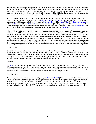the rest of the players competing against you. If you try to level up in BGs in the earlier levels of a bracket, you'll often find that you won't have all of the necessary PVP abilities and talents needed to be competitive and may find yourself outclassed, spending plenty of time in the graveyard. However, in patch 4.0.3a, Blizzard doubled the number of PVP level brackets by splitting each bracket in half (ie. 20-29 is now 20-24 and 25-29). So the power disparity between the higher and lower level players in each bracket won't be as pronounced as before.

In order to level up in BGs, you can enter queues by just clicking the Player vs. Player button on your menu bar. When you first begin, you'll only have access to [Warsong Gulch](http://www.wowpedia.org/Warsong_Gulch) and [Arathi Basin.](http://www.wowpedia.org/Arathi_Basin) As you get to higher levels, other battlegrounds will become available to you including [Eye of the Storm](http://www.wowpedia.org/Eye_of_the_Storm) (35), [Alterac Valley](http://www.wowpedia.org/Alterac_Valley) (45), [Strand of the Ancients](http://www.wowpedia.org/Strand_of_the_Ancients) (65), [Isle of Conquest](http://www.wowpedia.org/Isle_of_Conquest) (75), [Battle for Gilneas](http://www.wowpedia.org/Battle_for_Gilneas) (85) and [Twin Peaks](http://www.wowpedia.org/Twin_Peaks) (85). Beginning at level 45, you can also use the Random Battleground feature within that same PVP menu to queue up for a random BG for extra [Honor Points.](http://www.wowpedia.org/Honor_Points) Honor Points can be used to purchase various PVP gear, including the aforementioned [PVP boots.](http://www.wowhead.com/items=4.2?filter=sl=8;maxrl=58;cr=144;crs=1;crv=0#0+3+1)

When leveling in BGs, having a PVP-oriented spec is going to perform best, since a questing/dungeon spec may not work as well at PVP. Subtlety, with its impressive burst damage from stealth, is an excellent spec to use in BGs. Assassination is another good choice, while Combat generally tends to bring up the rear when it comes to PVP. To be the most effective at PVP, try to stay in large groups while focusing your attacks on the weak and injured. Rogues excel at being sneaky, so take advantage of your powerful surprise attacks to quickly dispatch your enemies and then fade back into the shadows. A Rogue caught out of stealth in PVP is often going to be a dead Rogue, so always try to get back into stealth as soon as possible after finishing off an enemy. Also, much like with Dungeon Leveling, try to keep your gathering professions leveled up in between battle queues, otherwise you'll find that they'll soon lag behind.

#### Group Leveling

Some players like to level up with the help of one or more partners. Shared experience gains will tend to be lower using this method, but you can make up for it by being able to quickly steamroll through content with little need for rest. This method of leveling works best when leveling up in dungeons, especially if you have a well-formed, cohesive group consisting of players who know how to play their classes well. If you join a group that seems incompetent or divided, strongly consider leaving the group or your leveling speed is going to suffer.

## **Grinding**

[Grinding](http://www.wowpedia.org/Grinding) can be a very effective method of leveling depending upon the level and density of creatures in the area. Often you can chain together kill quests and/or gathering quests along with a good grinding session for an impressive amount of experience. Unfortunately, grinding can also become very repetitive and tedious, so I recommend pairing up a long grinding session with a favorite podcast, TV show or movie to keep you awake.

#### Recruit-A-Friend

An amazing way to powerlevel a character is by using the [Recruit-A-Friend](http://www.wowpedia.org/Recruit-A-Friend) (RAF) system. If you have a new account referred by another player through RAF, you can gain serious bonus experience together, allowing you to virtually fly through dozens of levels. Some players will even go so far as to purchase a second account for themselves specifically for this terrific benefit. One drawback that I've seen to the RAF program is that once a player has been hyperleveled up to level 80 through RAF, they often have no idea how to actually play their class beyond that point.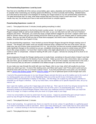#### <span id="page-22-0"></span>**The Powerleveling Experience: Level-by-Level**

Now that we've identified all of the various consumables, gear, specs, playstyles and leveling methods that you'll want to consider when maximizing your leveling speed and efficiency, it's time to actually start leveling. Detailed below, you'll find level-by-level tactics and strategies for leveling your Rogue based on my own powerleveling experiences. I've listed techniques that I've used, what areas worked best and how long it took to reach each level. Your own results may vary, but at least you'll have a real-world benchmark to compare against.

# <span id="page-22-1"></span>**Powerleveling Experience: Levels 1-9**

Level 1 - Time played this level: 5 minutes (mostly getting everything in order)

The powerleveling experience in the first few levels is pretty surreal. As of patch 4.0.1, you have access to all of a Rogue's weapon skills as well as dual-wielding from the start, so you can fully twink out with a full set of heirloom weapons and armor. Previously, you could only equip a single heirloom dagger for your level 1 weapon (which isn't ideal for Sinister Strike) until you went traveling around the world to go pick up your weapon skills for swords and/or maces. Now you can start off with any two of those items equipped, and there's even a mailbox at each starting location to receive them (as of patch 4.0.3a).

For this powerleveling experience, I have leveled up several Worgen Rogues through the Worgen starting zone of Gilneas. The Worgen and Goblin zones are actually instanced areas, isolated from the rest of the world, until you make your way out of those zones around level 14 or so. Not only that, but there are several scripted events which make significant changes to the continent as you go, completely removing your access to certain areas and NPCs. Due to this unique situation, I've found that I need to make a few slight adjustments to my normal powerleveling routine in order to compensate. Instead of starting off with Level 1-9 gear, I will also be carrying all of my level 10-15 gear with me.

Quest progression through the Worgen starting zone is mostly linear, sometimes to the point where it doesn't even feel like you have much control over the destiny of your character. Wake up over here, ride a horse there, take a carriage ride over there, get on another horse to take you way over there. With all of the scripted, mounted travel in this zone, I find it humorous that you still aren't considered to be skilled enough to purchase and ride your very own mount.

As you make your way through the world with your new Rogue, refer to your map, which will usually let you know where you need to go next. In most of the starting zones, just follow each quest **!** and **?** from point to point and you should be done with your first 13-14 levels in about 3 hours. If you find yourself stuck at any point, you can always refer to [Jame's free leveling guides](http://wow-pro.com/leveling_guides) and his [Wow-Pro Addon](http://wow-pro.com/addon) for a list of optimized quest circuits though each zone.

*I* mail all of the powerleveling gear to my new Worgen Rogue and pick the items up at the mailbox just to the south of *my starting position (you can click on the Magnifying Glass icon at the top left of your minimap to select from numerous NPCs and landmarks to display on that map). The first thing I do is adjust my new Rogue's interface to resemble my old Rogue's interface. I set up my Action Bars, move abilities out to specific keybound slots, set up my macros, etc.*

*Next I open the mailbox, pull out the 4 large bags and set them up. Then I get rid of all of my old gear (except for the Worn Axe which I'll need briefly later on) and transfer over all of the Level 1-15 powerleveling gear. From my experience testing out several Worgen Rogues, there aren't any mailboxes around in Gilneas when you reach the level 10-15 range, so it helps to already have your level 10-15 gear ready in your bags.*

*I move my consumables out onto my action bars for easy access. I equip my powerleveling gear and get ready to quest my way through the Worgen starting area. After completing the first two quests, I'm at level 2.*

#### Level 2 - Time played this level: 2 minutes

*Time to start smashing. As a general rule, there's no need for me to loot, unless I'm specifically on a gathering quest or if I need to loot beasts in order to skin them. Since I don't have Skinning yet, I don't really have to worry about that right now. I continue working on the first few quests in [Gilneas City.](http://www.wowpedia.org/Gilneas_City) Within moments, I've reached the next level.*

Level 3 - Time played this level: 2 minutes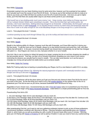#### New Ability: [Eviscerate](http://www.wowpedia.org/Eviscerate)

Eviscerate is going to be your basic finishing move for quite some time, however you'll be surprised at how seldom you'll actually use it over the course of your first 20-30 levels. As long as you're fully twinked and stick to mobs at or close to your level, you'll often kill them too quickly to ever fire off a 5-point Eviscerate. And once you get to higher levels, you'll find that there are usually better ways to use those combo points to your advantage.

*I find myself one or two-shotting pretty much every enemy I see. I keep moving, never letting my Energy cap out at*  100 as I unleash Sinister Strikes upon everything in my path. This is the first level that I get combo points, but *honestly, I don't even need them. Nothing lasts long enough for an Eviscerate. Unfortunately, the first quest I pick up from my Rogue trainer is called [Eviscerate,](http://www.wowhead.com/quest=14272) so I'm actually forced to remove my twink mace and temporarily equip the Worn Axe in order to hit softly enough for one of the Bloodfang Worgen to live long enough for a 1 point Eviscerate.*

#### Level 4 - Time played this level: 7 minutes

*I continue questing my way south through Gilneas City, up to the rooftop and back down to turn in a few quests.*

#### Level 5 - Time played this level: 10 minutes

## New Ability: [Stealth](http://www.wowpedia.org/Stealth)

Stealth is the defining ability of a Rogue, however much like with Eviscerate, you'll have little need for it during your first few levels. To get the most use out of Stealth, always try to stay behind enemies and avoid fires, AoE, and other effects that will break it. In the past, movement during stealth was slowed down considerably, but all that has changed with patch 4.1. Now Rogues can move at a nice, fast pace whether in or out of stealth.

One trick I like to use is running (or riding) full speed at my target, jumping into the air and then dropping into stealth at the last possible second. That way, you get a lot of forward momentum propelling you very close to your enemy, minimizing the distance you actually have to travel in stealth. This can take some practice, as it can be easy to misjudge your timing and get pulled into battle before you've entered stealth.

#### New Ability: [Battle Pet Training](http://www.wowpedia.org/Pet_Battle_System)

Battle Pet Training really has no bearing on powerleveling your Rogue, but it's a new feature in patch 5.0.4, so enjoy.

*I keep questing through Gilneas City, following the natural progression of quests until I eventually transform into a Worgen and end up in the town of [Duskhaven.](http://www.wowpedia.org/Duskhaven)*

#### Level 6 - Time played this level: 20 minutes

For Worgens, Duskhaven will be the place where you'll get your first and only chance to learn First Aid for the rest of your time in this zone. So the first thing you'll want to do is visit [Amelia Atherton](http://www.wowhead.com/npc=50574) on the upstairs floor of the Inn to powerlevel your First Aid as soon as you arrive, because Duskhaven won't be around for long…

Regardless of your chosen race, I recommend that you visit a [First Aid Trainer](http://www.wowhead.com/search?q=First+Aid+Trainer#npcs:0+3+1) early on to powerlevel your First Aid to 225 so that you can begin using [Heavy Runecloth Bandages.](http://www.wowhead.com/item=14530) Listed below is a simple powerleveling path for First Aid.

#### Powerleveling First Aid to 225

1 - 40 Linen Bandage: Make 40-42 Linen Bandages until you reach 40.

41-80 Heavy Linen Bandage: Make 35-60 Heavy Linen Bandages. Get Journeyman First Aid after 50. Continue to 80. 81-115 Wool Bandage: Make 40-55 Wool Bandages until you reach 115.

116-150 Heavy Wool Bandage: Make 40-55 Heavy Wool Bandages until you reach 150. Get Expert First Aid after 125. 151-180 Silk Bandage: Make 35-50 Silk Bandages until you reach 180.

181-225 Heavy Silk Bandage: Make 70-100 Heavy Silk Bandages until you reach 225.

After powerleveling First Aid, you'll want to visit your gathering profession trainers to pick up two of those professions. I recommend Herbalism combined with Skinning or Mining. Learning Herbalism automatically gives you [Lifeblood](http://www.wowpedia.org/Lifeblood) (Rank 1), which heals you as well as providing you with a useful 20 second Haste effect every 2 minutes. Skinning gives you Crit Rating with [Master of Anatomy](http://www.wowpedia.org/Master_of_Anatomy) as well as plenty of leather in case you need to have any Leatherworking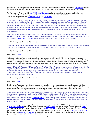gear crafted. The final gathering option, Mining, gives you a small boost to Stamina in the form of [Toughness,](http://www.wowpedia.org/Toughness_%28mining%29) but also provides you with plenty of ore and gems needed for just about any crafting profession you might choose later on.

For Worgens, you'll need to visit [Jack "All-Trades" Derrington,](http://www.wowhead.com/npc=50247) who can actually teach Apprentice level in every profession. He does not show up as a Profession trainer on your mini-map, but can be found in several towns in Gilneas including Duskhaven, [Stormglen Village](http://www.wowpedia.org/Stormglen_Village) and [Keel Harbor.](http://www.wowpedia.org/Keel_Harbor)

*At this point, I've been transformed into a Worgen, gaining new abilities, so I move my [Darkflight](http://www.wowhead.com/spell=68992) ability out onto my*  action bar. Until I get Sprint, this will be my speed boost ability to keep things moving along smoothly, and it doesn't *even break stealth. I enter the Duskhaven Inn, set my hearth and then head upstairs to see the First Aid Trainer to*  powerlevel my First Aid. Next I visit Jack "All-Trades" Derrington to pick up Herbalism and Skinning. Skinning isn't *exactly the most useful profession on Gilneas, since there's not much to skin, but I'll get plenty of use out of it later on, especially with the Worgen's [Flayer](http://www.wowhead.com/spell=68978) ability which boosts your Skinning skill by 15 and lets you skin beasts half a second faster.*

*After I pick up the two quests from Prince Liam Greymane outside Duskhaven, I test out my twinked powers against the nearby Level 4/5 Elite Horrid Abominations. I'm able to easily kill them solo, but unfortunately it doesn't count as a "kill" for the [You Can't Take 'Em Alone](http://www.wowhead.com/quest=14348) quest, which is rather ironic, since I really can take 'em alone…*

Level 7 - Time played this level: 10 minutes

*I continue questing in the southwestern portion of Gilneas. When I get to the Catapult quest, I continue using available Catapults even after killing the two captains on the ships to help get myself back to the questgivers quicker.*

Level 8 - Time played this level: 12 minutes

New Ability: [Ambush](http://www.wowpedia.org/Ambush)

Ambush is the bane of many non-Rogue players, the ultimate surprise attack. This one ability can reduce many enemies to little or no health in an instant. In the past, Ambush would become less and less effective as you leveled, but with 4.0.1 changes to talents and game mechanics, Ambush remains a potent weapon in any leveling Rogue's arsenal. Most importantly, Rogues can now use either a dagger or a non-dagger as their main hand Ambush weapon.

*My next Elite test is the Level 7 Elite Dark Ranger Thyala.and the 3 Forsaken guards near her. Without even using the Dog Whistle, I solo all four with ease. I hop back onto a nearby Catapult and ride back to Lord Godfrey. After completing the next few quests, I get to try out another elite, the Level 11/12 Elite, Koroth the Hillbreaker. Unfortunately, he's a bit too tough and I'm forced to use Darkflight to retreat out of his range. I finish a few more quests as I head west through Gilneas.*

Level 9 - Time played this level: 15 minutes

New Ability: [Evasion](http://www.wowpedia.org/Evasion)

Evasion is the Rogue's primary defense mechanism, allowing you to dodge attacks from multiple opponents, both melee and ranged. With a 3-minute cooldown, you'll want to save it for those times when you really need it. However, when you do use it, it always does its job well, boosting your dodge through the roof for a short period of time.

*I keep working on Gilneas quests, eventually making my way to the Stagecoach Crash site in southern Gilneas. After finishing a few more quests, I finally reach level 10. Nearby the Stagecoach Crash site, I get another chance at Koroth the Hillbreaker. This time I'm able to get him down to about 15% health before I'm forced to Darkflight back down the path. Afterwards, I continue east to [Stormglen Village.](http://www.wowpedia.org/Stormglen_Village) While running there, I clean out my bags. Anytime I have to travel across long, open expanses, I set my Rogue to autorun and use this time to go through my bags throwing out useless loot on the run.* 

Note: If you're playing a Goblin, you'll soon get the chance to powerlevel from 10-14 very quickly on an endless stream of [Volcanoth Champions](http://www.wowhead.com/npc=38850) that quickly respawn inside the [Lost Caldera.](http://www.wowpedia.org/Lost_Caldera) I suggest using a Combat spec with Blade Flurry to rapidly mow them down. After accepting the [Rocket Boot Boost](http://www.wowhead.com/quest=24952) quest which takes you into the Lost Caldera, don't hearth out of the volcano for any reason, or you may not be able to return. Complete [Children of a Turtle God](http://www.wowhead.com/quest=24954) then grind on the [Volcanoth Champions](http://www.wowhead.com/npc=38850) for about 25 minutes until you reach level 14. At that point, you're done grinding, so go ahead and finish [Volcanoth!,](http://www.wowhead.com/quest=24958) which will send you on your way.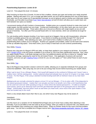# <span id="page-25-0"></span>**Powerleveling Experience: Levels 10-19**

#### Level 10 - Time played this level: 15 minutes

After knocking out those first 10 levels, it's time to find a mailbox, choose your spec and review your newly acquired abilities. Starting with patch 5.0.4, you no longer get talent points, but you'll still be selecting from one of three specs. Each spec has its own unique set of specialization bonuses, so you're going to want to choose your initial spec wisely. Eventually, you'll be able to purchase [Dual Talent Specialization](http://www.wowpedia.org/Dual_Talent_Specialization) at level 30 which will allow you to switch back and forth between two specs as needed.

I recommend starting off with Combat or Assassination. Subtlety gives you a powerful Ambush to make short work of single targets, but then quickly runs out of gas. Combat and Assassination, on the other hand, give you much more consistent, sustainable damage. Those specs allow you to be just as effective with single targets as you are with groups of enemies. Too often you'll find yourself faced with 2 or more enemies, which can sometimes be tough for Subtlety.

For solo leveling and/or dungeon leveling, if you have a good set of daggers, then go with Assassination, otherwise Combat is probably going to be your best option. If you intend on leveling up primarily through PVP, then by all means, choose Subtlety. After selecting your spec, you'll want to find a mailbox to collect your Level 10-19 powerleveling items (unless you're a Worgen). Anytime you upgrade consumables, switch out the lower level versions to free up valuable bag space. Once that's done, you're ready to head back out and continue powerleveling.

#### New Ability: [Poisons](http://www.wowpedia.org/Poisons)

Poisons are a big part of a Rogue's DPS and utility, so keep them applied to your weapons at all times. As of patch 5.0.4, [Deadly Poison](http://www.wowhead.com/spell=2823) is the first poison available to you at level 10, but it has been significantly improved. Now, when you apply Deadly Poison, it still deals damage over time, but additional attacks will have a chance to "instantly" deal extra poison damage, replacing the need for the old Instant Poison. One application of poisons will coat both weapons, and once you get [Crippling Poison](http://www.wowhead.com/spell=3408) at level 20, you can also apply a 2<sup>nd</sup> Non-Lethal Poison to each of your weapons.

#### New Ability: [Sap](http://www.wowpedia.org/Sap)

Sap is the Rogue's long-duration creature control (CC) ability, allowing you to separate individuals from groups and control the battlefield. After using Sap, be sure to let your energy fully recover before launching your stealth attack.

*When I get to level 10 as a Worgen Rogue, I find myself still trapped on the continent of Gilneas and I haven't seen a mailbox since I left the starting point. Luckily I planned ahead and already have my level 10-15 gear in my bags, ready to equip. For this Rogue, I'll be using a standard Combat leveling build with an heirloom mace as my mian hand weapon.*

*Battlegrounds are normally unlocked for players at level 10, but not Worgen. If I try to enter a BG, I'll be teleported to the nearest graveyard instead. I realize that I can actually use that to my benefit, sort of like a mini hearthstone that can be used over and over while questing as long as I know where the nearest graveyard is. I'm able to complete some quests, queue up for Warsong Gulch and then get teleported right back to the graveyard next to Stormglen Village. Unfortunately, that trick doesn't work as well when you head north, since most of the Spirit Healers in this zone are located way to the south.*

Here's a very simple attack macro that I like to use, one which many new Rogues may not be aware of:

#### /startattack /cast Sinister Strike

Use this macro (or a variation of it for Mutilate/Hemorrhage) and you'll never have a delay when attacking a mob. Normally, if you've just killed a mob and used up all your energy, when you switch to a second mob, your attacks won't begin immediately upon mashing your instant attack button. Swap out Sinister Strike for this macro and that problem goes away. You can find a complete list of Rogue macros here: [http://www.wowpedia.org/Useful\\_macros\\_for\\_rogues](http://www.wowpedia.org/Useful_macros_for_rogues)

Level 11 - Time played this level: 15 minutes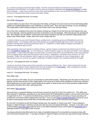*As I continue questing around Stormglen Village, I find the occasional higher level Earthroot among all of the Peacebloom and Silverleaf, so I'm glad I have my extra set of gloves enchanted with [Advanced Herbalism](http://www.wowhead.com/?spell=13868) to bridge those skill gaps. I make sure to kill a few extra mobs while questing so that I can reach level 12 for Recuperate and the level 12 Healing Potion before leaving Stormglen Village.*

Level 12 - Time played this level: 15 minutes

#### New Ability: [Recuperate](http://www.wowhead.com/spell=73651)

I couldn't believe my eyes when I first read about this ability, as Rogues had never had any kind of self healing ability (aside from food/bandages/potions and Lifeblood) up until this point. Now, don't get me wrong, I'm not complaining. This single ability makes leveling a Rogue so much easier than it ever had been before.

One of the main complaints that came from players leveling up a Rogue for the first time was that Rogues took way too much damage, requiring significant amounts of downtime to eat and bandage. Well, Recuperate has changed all that. Now Rogues can use leftover combo points from dead enemies to fuel this very effective healing ability and it doesn't even break stealth. Really, what more could a Rogue ask for?

*I continue making my way north through Gilneas, picking herbs, completing quests and killing/skinning the few available beasts. I'm investing a little more time leveling up my gathering skills right now so that I can reap the benefits of having those leveled up professions later on. Lifeblood is a useful ability for Rogues and Master of Anatomy will certainly help my DPS.*

*After completing a few more quests in northern Gilneas, I get the chance to head back into Gilneas City for the fun quest [The Battle for Gilneas City.](http://www.wowpedia.org/Quest:The_Battle_for_Gilneas_City) As I'm leveling up, I remind myself to equip my new gear and switch in my upgraded consumables. If I get cocky and aggro too many mobs, it's nice to know that I can now fall back on the more powerful level 12 Healing Potion rather than the weaker level 3 version. Regardless, with Blade Flurry, Evasion, EZ-Thro Dynamite, Thistle Tea and Lifeblood, there's really not much that can challenge me, even in large groups. Add Recuperate to the mix and this very potent combination of abilities enables me to quickly powerlevel my Rogue.*

#### Level 13 - Time played this level: 15 minutes

*I equip my new level 13 gear and continue questing in and around Gilneas City. Soon, I have to leave the city and head out west to Aderic's Tomb, followed soon by a trip northwest out to [Keel Harbor.](http://www.wowpedia.org/Keel_Harbor) After completing two quests there I've reached level 14 and it's time to leave for Darnassus.*

Level 14 - Time played this level: 20 minutes

#### New Ability: [Kick](http://www.wowhead.com/spell=1766)

Kick is primarily a PVP ability, but can occasionally be useful while leveling. Depending upon the types of mobs you're fighting, and the effectiveness of their ranged spells, Kick can go from being merely situational to becoming a lifesaver. Some spellcasters can pack quite a punch behind those spells, so keep an eye out for those powerful ranged threats and quickly neutralize them with a well-placed Kick.

#### New Ability: **Slice and Dice**

Slice and Dice is a powerful finishing move that was moved from level 22 to level 14 in patch 5.0.4. This ability was also improved in Cataclysm, allowing you to use combo points off of dead bodies to power it, and you don't even have to target them to do it. To maximize its effectiveness, leave the combo points on the body as long as possible until reaching the next enemy before popping Slice and Dice. Once you get [Glyph of Deadly Momentum](http://www.wowhead.com/spell=63254) at level 25, you'll be able to automatically refresh both Slice and Dice/Recuperate with each kill using that powerful glyph.

So now that I've finished up with the Worgen starting zone, the question is, where to go next? If you're playing a Worgen or Night Elf Rogue, Darkshore would seem like the next most logical destination. However, if you take a look at this excellent [Level Flow map](http://www.mmo-champion.com/threads/757449-Azeroth-level-flow-map) posted by Zeror on the MMO-Champion forums, you'll notice that [Stormwind City](http://www.wowpedia.org/Stormwind_City) is optimally located in a very tight cluster of zones.

I've always preferred using Stormwind as my base of operations because it's surrounded by numerous zones with short travel times between them. If you play a Worgen or Night Elf Rogue and work your way south through Kalimdor,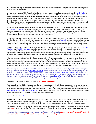you'll be often be very isolated from other Alliance cities and your leveling speed will probably suffer due to long travel times across vast distances.

In the original version of this Powerleveling Guide, I actually recommended going to a small island i[n Loch Modan](http://www.wowpedia.org/Loch_Modan) at this point to quickly grind out the next 7 levels while powerleveling your Skinning profession. That southernmost island, which I'd dubbed Crocolisk Island, was covered with Crocolisks that would respawn at an extremely fast rate, allowing you to constantly kill, loot and skin for speedy leveling. Unfortunately, due to Cataclysm changes, that strategy no longer works, because the water has been drained out of the Loch and the Crocolisks now wander throughout the dry basin. However, during my travels in patch 4.0.3a, I found another location that works just as well (although without the Skinning benefit), a place not too far from Stormwind that I like to call Redridge Camp.

Grinding is my preferred method of leveling in the sub-20 level range (which includes levels 10-14 for Goblins using the [Volcanoth Champions](http://www.wowhead.com/npc=38850) technique mentioned earlier in this guide) because I don't have a mount yet and would rather grind away on a constant stream of mobs in one location rather than slowly walk all over a map completing quests. Once I get a mount, questing will become my standard mode of leveling, but until then, I'd rather sit in one spot and rapidly power my way through much of these lower levels.

Grinding through levels like that can be boring, but if you occupy yourself with a movie or some other diversion, you'll find that the time will go by quickly. In the past, I used to go questing around [Westfall,](http://www.wowpedia.org/Westfall) but found it very tedious running back and forth all over the map without a mount, trying to track down this or that quest requirement. With Redridge Camp, you don't have to worry about all of that. Just buckle up and get ready for some lightning fast leveling action.

So what or where is [Redridge](http://www.wowhead.com/npc=424) Camp? Redridge Camp is the name I've given to a small camp of level 15-17 Redridge [Poachers](http://www.wowhead.com/npc=424) and [Redridge Mongrels](http://www.wowhead.com/npc=423) located on the southern bank of Lake Everstill in Redridge Mountains at coordinates: 40, 63. There are six mobs located at that camp and as soon as the last one is killed, one or more replacements immediately spawn. I don't bother looting, but instead just smash away, letting Blade Flurry mow them all down. Recuperate is also key there and should be used as often as possible to keep your health topped off.

When grinding the mobs at Redridge Camp, occasionally you'll get swarmed by 4 or 5 at once, so save Evasion for those times when you really need it. As long as you're fully buffed and twinked, with a Combat or Mutilate spec, you should be able to easily solo that camp starting at level 13 or 14. I don't recommend trying to undertake this venture with a Subtlety spec as you'll often find it very difficult to return to stealth. If you love Subtlety, you may actually want to consider leveling up in BGs at this point, since you'll be at the top of the new 10-14 BG level range.

*After leveling up a few test Worgens to 14, I switch back to one of two Level 14 Human Rogues I've been waiting to level up. My next destination is [Redridge Mountains,](http://www.wowpedia.org/Redridge_Mountains) which is now a level 15-20 zone, with quests beginning as early as level 14. I leave Stormwind, head south and east, pick up the [Goldshire](http://www.wowpedia.org/Goldshire) and [Eastvale Logging Camp](http://www.wowpedia.org/Eastvale_Logging_Camp) flight points*  and then continue east to Redridge Mountains. When I arrive, I pick up all available quests and begin working on the *first few quests in western Redridge Mountains. By the time I reach [Lakeshire,](http://www.wowpedia.org/Lakeshire) I'm level 15. Dungeon leveling becomes available to me at this point, but I'm not really interested in doing that right now.*

#### Level 15 - Time played this level: 15 minutes (**6 minutes if grinding**)

As of patch 5.0.4, level 15 will be your first chance to pick a talent. Unlike in Cataclysm, you are no longer forced to stick to any particular tree, because there are no more trees. Now you just choose the best of three talents at each 15 level interval, depending upon your personal preferences. Level 15 will offer you three different stealth-based talents, [Nightstalker,](http://www.wowhead.com/spell=14062) [Subterfuge](http://www.wowhead.com/spell=108208) and [Shadow Focus.](http://www.wowhead.com/spell=108209) Regardless of your spec, I recommend that you pick Nightstalker for the speed bonus as well as the extra frontloaded damage from stealth.

# New Ability: [Pick Pocket](http://www.wowpedia.org/Pick_Pocket)

Pick Pocket is one of those convenience abilities that doesn't really have much impact on the game. You can get a few extra copper/silver and some vendor trash items to sell, along with the occasional potion. In the past, junkboxes were very useful for leveling up your Pick Lock skill, but now you automatically increase that skill with each level.

For the next 7 levels, I'll be giving an account of my travels questing through Redridge Mountains. However, I will also list in **bold** how long it took me to grind my way through those same 7 levels with a second Rogue at Redridge Camp.

*I knock out the first few quests around Lakeshire and quickly reach level 16 (although not nearly as quickly as the 6 minutes it takes me to grind through this level with my second Rogue.)*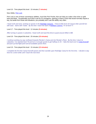Level 16 - Time played this level: 10 minutes (**7 minutes**)

New Ability: [Pick Lock](http://www.wowpedia.org/Pick_Lock)

Pick Lock is one of those convenience abilities, much like Pick Pocket, that can help you make a few silver or gold here and there. Occasionally you'll find a use for it in dungeons, opening a chest or door that would normally require a key, but aside from those rare situations, you probably won't use this ability very often.

*I head north and west, working on quests in the [Redridge Canyons.](http://www.wowpedia.org/Redridge_Canyons) I find an Elite level 18 Canyon Ettin and kill him with ease. Same with Yowler. By the time I reach the back of [Rethban Caverns,](http://www.wowpedia.org/Rethban_Caverns) I'm at level 17.*

Level 17 - Time played this level: 12 minutes (**9 minutes**)

*After turning in quests in Lakeshire, I head north and east this time to quest around Alther's Mill.*

Level 18 - Time played this level: 20 minutes (**10 minutes**)

*I continue working my way northward towards Render's Camp and into Render's Rock. By the time I return to Lakeshire, I've reached level 19 and turn in enough quests to get halfway to 20. I take the boat over to [Camp Everstill](http://www.wowpedia.org/Camp_Everstill) and pick up that flight point and all available quests there.*

#### Level 19 - Time played this level: 15 minutes (**12 minutes**)

*I complete the first few Camp Everstill quests and then stumble upon Redridge Camp for the first time. I decide to stay here for a short while until I reach the next level.*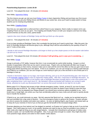## <span id="page-29-0"></span>**Powerleveling Experience: Levels 20-29**

Level 20 - Time played this level: 20 minutes (**14 minutes**)

#### New Ability: [Apprentice Riding](http://www.wowpedia.org/Riding)

The first chance you get, go visit your local [Riding Trainer](http://www.wowhead.com/search?q=Riding+Trainer#npcs:0+3+1) to learn Apprentice Riding and purchase your first mount. Make sure that you put your Riding Gloves and Boots on your action bar, since you'll want to easily switch to those anytime you're crossing long distances.

New Ability: [Crippling Poison](http://www.wowhead.com/spell=3408)

Now that you can apply both a Lethal and Non-Lethal Poison to your weapons, there's really no reason not to use Crippling Poison as soon as you get it. Put Crippling and Deadly Poison on both your weapons and have fun kiting around enemies as they die a slow, painful death.

*I spend a few more minutes at Redridge Camp and then go finish up a few quests.*

Level 21 - Time played this level: 30 minutes (**17 minutes**)

If you've been grinding at Redridge Camp, this is probably the last level you'll want to grind here. After this point, the level 15 Redridge Mongrels will become gray to you, although they'll still be outnumbered by the quantity of level 16 and 17 mobs at that camp.

*I decide to stick around Redridge Mountains a bit longer to finish up a few simple quests on the far eastern side before I go pick up my mount.*

Level 22 - Time played this level: 30 minutes (**30 minutes if still grinding, just in case you're wondering…**)

#### New Ability: [Gouge](http://www.wowpedia.org/Gouge)

Gouge is primarily a PVP ability, however like Kick, it can occasionally be useful while leveling. Gouge is a short duration incapacitation effect that can be used in several ways. Players who use Backstab will often use Gouge to help get positioning on their enemy, however make sure to wait until the end of the effect so that you gain most of your energy back before launching your next attack. If Kick is on cooldown, you can use Gouge as a backup spell interrupt. And if Blind is on cooldown, you can use Gouge as a semi-backup to give you a few seconds to use at least part of a bandage to heal up.

*I hearth to Stormwind, empty out my bags, train Expert Skinning, pick up my 20-29 powerleveling gear, then head out to the [Eastvale Logging Camp](http://www.wowpedia.org/Eastvale_Logging_Camp) to train my Apprentice Riding ability. After that, I head back to Redridge Mountains. As it turns out, those last few quests on the eastern side of Redridge Mountains actually lead to a few more quests and after completing those I soon reach level 23. My Herbalist's Gloves enchanted with Gatherer are coming in quite handy, allowing me to pick any Bruiseweed that I run across that would normally be too high for me to pick.*

Before patch 5.0.4, Rogues had access to their ultimate emergency button, Vanish, at level 22, but now it's been moved all the way to level 34. So, what's a Rogue supposed to do when he doesn't have Vanish to save him from danger? Well, if you've prepared your Rogue properly, you should have numerous options available to you. Let's break down a tough fight, one where you may have accidentally pulled too many mobs and will need to quickly decide how to handle the situation.

If Sprint is up, you could obviously run away. But let's assume that Sprint isn't up…maybe you've sprinted around a tree and stumbled into a big camp of Murlocs. Your first emergency button is going to be Evasion. Evasion will give you time to assess the situation and select your options. As soon as fighting begins, pop Evasion and slowly back up to keep all of your enemies in front of you so that you get the full benefit of the increased dodge effect.

Enemies attacking you from behind can't be dodged (or parried), so Evasion isn't going to help as much if you let that happen. Don't back away too much, or too quickly, because you want to stay as close as possible to any casters or other mobs who might be firing at you with ranged attacks. I actually find it beneficial to pull groups of melee mobs towards a caster, so I can handle them all together. Also, if you get close enough to a caster, they might drop their more powerful magic attacks and switch to their weaker melee attacks.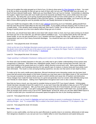Once you've gotten the mobs grouped up in front of you, it's time to drop some [Ez-Thro Dynamite](http://www.wowhead.com/?item=6714) on them. You want to do this as early as possible so that you get as many of them with it as you can. That will make your job easier, as they'll all have reduced health pools. Make sure you have Blade Flurry up if you're Combat. Concentrate on attacking the tougher, higher level mobs with more health and let the dynamite and Blade Flurry action whittle down the easier mobs for you. By doing that, you're giving yourself good targets to build up more combo points on, so that you can then convert those into longer Recuperate or Slice and Dice uptime. In extended solo battles, you'll want to try and get both of those effects going as soon as possible and then use Deadly Momentum to keep them up.

Once your health has dropped a little, it's time to pop Lifeblood (assuming you're an Herbalist), getting benefit from both the extra life and the haste effect for the rest of the battle. If your health continues dropping, then it's time to use a health potion. If the situation starts looking really bad, then drink a Thistle Tea so that you get an extra boost of Energy to quickly power up a few more attacks before things get out of control.

By this time, you should have been able to mow down half a dozen mobs or more, but if you start running out of steam and have just one or two mobs left, you still have options available to you. Try to quickly finish off the mob with the lowest health, so you can get yourself into a 1-on-1 situation and then Gouge the other mob. While that mob is incapacitated, pop one of your Heavy Runecloth Bandages. You should be back up to full health before the mob can ever recover.

#### Level 23 - Time played this level: 30 minutes

*I finish up the last of my Redridge Mountains quests and end up about 3/4 of the way to level 24. I decide to grind a few dozen more mobs to get the rest of the way to 24 for Vanish. I swing by the Rogue Trainer in Goldshire before heading down to the next zone I'll be leveling in, [Duskwood.](http://www.wowpedia.org/Duskwood)*

## Level 24 - Time played this level: 30 minutes

## *I begin questing in northeastern Duskwood, making sure to work on my Herbalism and Skinning as I'm leveling.*

For those who have leveled characters in the past, you really start to get a better understanding of how quests were reorganized in Cataclysm. With these new, redesigned quests, there's a lot less running back and forth, and a bit more hand holding as the quests lead you in a logical, orderly direction around each zone. Many quest objectives have been simplified, and frustrating searches for one specific type of creature or elusive body part have pretty much been eliminated. The result is a less annoying leveling experience, but also one that seems to lack depth at times.

To make up for the overly vanilla quest objectives, Blizzard introduced some interesting variety into the lower level zones that will remind some players of the kinds of quests you may have seen in the higher levels of TBC and WotLK. You now get occasional, fun quests where you get to control vehicles and cause lots of mayhem and destruction. These changes have made the lower levels less of a grind and generally more fun overall, while definitely being more user-friendly for newer players. Adding more Flightmasters throughout each zone is also a welcome change.

Now that you have a mount, you may want to consider trying out some PVP if you haven't already. Unfortunately, Vanish has been relocated to level 34 in patch 5.0.4, so you won't have that vital ability to help you out in PVP at level 24 as was the case in Cataclysm. Still, you'll be at the upper end of the 20-24 level bracket, and with your twinked gear you should do quite well. If you get in a few games of Warsong Gulch and/or Arathi basin now, you'll be able to save up enough honor points to buy a set of PVP "Speed Boots" at level 28, which you can then attach Mithril Spurs to in order to boost both your mounted and unmounted speed throughout the rest of your leveling experience.

#### Level 25 - Time played this level: 15 minutes

#### *I apply my Glyphs, set my hearth in [Darkshire](http://www.wowpedia.org/Darkshire) and and start working on quests in southeastern Duskwood. No more skinning Worgen…boo! To compensate, they've added a few boars (boars in Duskwood ?!?) for players to skin.*

#### Level 26 - Time played this level: 30 minutes

# New Ability: [Sprint](http://www.wowpedia.org/Sprint)

Sprint is a very useful ability, one that can be used offensively to quickly close in on enemies, defensively to bolt away from dangerous situations or you can just use it as a helpful utility to cover long distances and speed along your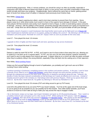overall leveling progression. With a 1 minute cooldown, you should be using it as often as possible, especially in conjunction with Glyph of Blurred Speed and Glyph of Sprint, to race across rivers and other small bodies of water that would normally slow down your progress. Disappointingly, Sprint suffered the same fate as Vanish, getting pushed back 10 levels from being a level 16 ability in Cataclysm (and previously level 8 before that).

#### New Ability: [Cheap Shot](http://www.wowpedia.org/Cheap_Shot)

Cheap Shot is a rogue's opening stun attack, used to lock down enemies to prevent them from reacting. Some players swear by it, while others pretty much avoid it in favor of the superior burst damage of Ambush. In the past, many players felt that stunlocks were pretty much required to level a Rogue, in order to avoid taking copious amounts of damage. However, with the addition of Recuperate, preventing damage with stunlocks isn't nearly as important as it once was. Cheap Shot can still be effective in certain situations, but often you'll just be better off with pure damage.

*I complete a bunch of quests in south Duskwood, then head further west to pick up the flight point out at [Raven Hill.](http://www.wowpedia.org/Raven_Hill) Next I hearth back to Darkshire and turn in my quests, putting me halfway into Level 27. My Skinning is at 170 and my Herbalism 120 at this poont. Reminder for Level 26+: Equip a helm as soon as possible for the extra stats.*

#### Level 27 - Time played this level: 18 minutes

*I upgrade to Elixir of Agility and then head south and west, questing my way across Duskwood.*

#### Level 28 - Time played this level: 22 minutes

#### New Ability: [Distract](http://www.wowpedia.org/Distract)

Distract is useful for both PVE & PVP. In PVE, you'll want to use it to force mobs to face away from you, allowing you to sneak by or set them up for a surprise attack. In PVP, you can use it for the same purpose, however sometimes you'll want to use it to stop players from trying to get away. A player riding by on a mount can often be easily confused when they're suddenly riding in the wrong direction, especially if they ride back into the waiting arms of their opponent.

#### New Ability: [Mind-numbing Poison](http://www.wowhead.com/spell=5761)

Unless you find yourself fighting through a bunch of spellcasters, you probably won't get much use out of Mindnumbing Poison while leveling.

*I continue questing in Duskwood, completing quests in the southern and western portions. In the past, I used to have a favorite circuit I liked to run in [Raven Hill Cemetery,](http://www.wowpedia.org/Raven_Hill_Cemetery) going down through one tomb and then sprinting my way through the underground tunnel to the other tomb, killing tons of skeletons and ghouls along the way. However, the density of mobs has been reduced considerably so that technique isn't nearly as effective as it once was. Instead of hanging around to grind in the cemetery as I had always done with previous Rogues, I finish up my quests there and move on. By the time I reach level 29, I've gotten my Skinning to 180 and my Herbalism to 140.*

Level 29 - Time played this level: 55 minutes (PVP and riding around to get my PVP boots)

Level 29 is the perfect time to try out some PVP if you haven't already. You'll be at the upper end of the level range, so you're going to be as powerful as you can possibly be for this bracket. And unlike earlier brackets, you'll have access to a mount so it won't take as long to make your way across the map to engage in battle.

*I fly to Stormwind, empty out my bags, train Expert Herbalism and grab my 30-39 powerleveling gear. Then I switch to a Subtlety Ambush spec and queue up for a few rounds of PVP. While waiting for PVP queues, I take the [Deeprun](http://www.wowpedia.org/Deeprun_Tram)  [Tram](http://www.wowpedia.org/Deeprun_Tram) to [Ironforge,](http://www.wowpedia.org/Ironforge) then ride all the way around to [Wetlands](http://www.wowpedia.org/Wetlands) and [Menethil Harbor.](http://www.wowpedia.org/Menethil_Harbor) After picking up the Menethil Harbor flight point, I head up north to [Arathi Highlands](http://www.wowpedia.org/Arathi_Highlands) to pick up that flight point as well as my PVP speed boots. I attach Mithril Spurs to my new boots and then hearth back to Darkshire. By the time I reach level 30, I've finished up the last of my Duskwood quests.*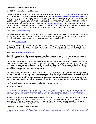# <span id="page-32-0"></span>**Powerleveling Experience: Levels 30-39**

#### Level 30 - Time played this level: 35 minutes

Level 30 is a very busy time. You'll be learning new abilities, gaining access to [Dual Talent Specialization](http://www.wowpedia.org/Dual_Talent_Specialization) and getting to pick a new talent. This time, your talent choices include [Deadly Throw,](http://www.wowhead.com/spell=26679) [Nerve Strike](http://www.wowhead.com/spell=108210) and [Combat Readiness.](http://www.wowhead.com/spell=74001) Of those three talents, I recommend Combat Readiness for leveling purposes. Combat Readiness is a useful defensive ability for both PVP and leveling. Unfortunately, this ability does not synergize well with Evasion, so you'll want to use those two abilities separately from each other. With its shorter, two minute cooldown, you may want to macro this talent along with another two minute ability, like one of the [several on-use trinkets](http://www.wowhead.com/items=4.-4?filter=minrl=30;maxrl=40;cr=107:107:45:26;crs=0:0:3:3;crv=Use:Increases:0:0) you'll get access to in this level range. That way, you'll be confident that your defenses will be up as you get the most advantage out of your offensive trinket ability. Note: Combat Readines shares a cooldown with Cloak of Shadows as of patch 4.2.

#### New Ability: [Swiftblade's Cunning](http://www.wowhead.com/spell=113742)

Historically, Rogues have been known to complain about not having much in the way of useful buff/debuff abilities that help out groups and raids. Swiftblade's Cunning is a new passive ability introduced in patch 5.0.4 which helps to alleviate that issue, increasing your party's melee and ranged attack speeds by 10%.

#### New Ability: [Wound Poison](http://www.wowhead.com/spell=8679)

In the past, I always recommended that non-Assassination Rogues switch to Wound Poison as soon as it becomes available. However, with the patch 5.0.4 improvements to Deadly Poison, there's not much point in switching to Wound when you have access to a useful DoT poison that also deals instant damage with additional applications.

#### New Ability: [Dual Talent Specialization](http://www.wowpedia.org/Dual_Talent_Specialization)

Dual Talent Specialization allows you to pick up a second set of talents, so once you get your talents and glyphs set up for your  $2^{nd}$  spec, you can freely switch back and forth between talent specs depending upon your needs.

I recommend that Dagger Rogues use Assassination as their primary spec and non-dagger Rogues go with Combat, with both choosing Subtlety as their secondary spec. With this setup, you can rely on the power of your primary spec for most of your questing, but still have the flexibility to switch to Subtlety for PVP and/or special situations. I like to use my primary Combat or Assassination spec to blast my way through groups of mobs and then switch to Subtlety any time I'm fighting mobs 1-on-1 out in the open field.

There are a few important things you need to know about Dual Talent Specialization. You can't switch specs while in combat, Arena or BGs (except during the preparation stage). Switching talents takes 5 seconds to cast, will unstealth you when you begin casting, and can be interrupted if attacked. Upon switching talents specs, your glyphs and action bars will also switch, so make sure you remember to sync up your toolbars between specs as you're leveling. If you don't, you'll try to pop a potion or some other key ability in an emergency situation and it won't be where you expect it.

Here's a handy macro you can use to quickly switch between talent specs:

#### /usetalents [spec:1] 2; 1

*Once I'm done with Duskwood, I ride south to the [Rebel Camp](http://www.wowpedia.org/Rebel_Camp) in Northern Stranglethorn to begin working on quests in that zone. I pick up the flight point and all available quests and then head southwest to [Nesingwary's Expedition.](http://www.wowpedia.org/Nesingwary%27s_Expedition) I pick up the quests there and then begin questing. Also, I make sure to upgrade my explosives to Ez-Thro Dynamite II.*

Northern Stranglethorn is an excellent zone for leveling, providing tons of quests in the 25-30+ level range as well as plenty of beasts to skin and herbs to pick. However, STV is also well-known for ganking on PVP realms. If you're playing on a PVP server, then you knew what you signed up for, so now's your chance to prove it. Switching to Subtlety while in this zone will give you the tools you'll need to survive and excel at PVP while leveling.

#### Level 31 - Time played this level: 30 minutes

*I continue working on quests in the northern section of Northern Stranglethorn, while getting in plenty of skinning and herbs.*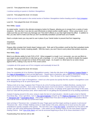Level 32 - Time played this level: 20 minutes

*I continue working on quests in Northern Stranglethorn.*

Level 33 - Time played this level: 15 minutes

*I* finish up most of the quests in the central section of Northern Stranglethorn before heading south to [Fort Livingston.](http://www.wowpedia.org/Fort_Livingston)

Level 34 - Time played this level: 40 minutes

New Ability: [Vanish](http://www.wowpedia.org/Vanish)

As stated earlier, Vanish is the ultimate emergency button for Rogues, allowing you to escape from a variety of nasty situations. Not only that, it can also be used offensively to initiate another stealth opener. When using Vanish, try to make sure that you don't have any Damage over Time (DoT) effects on you that might break the effect. In addition to that, you also want to make sure that you don't accidentally autoattack yourself back out of stealth.

Here's a simple macro you may want to use in place of your Vanish button to prevent that from happening:

/stopattack /cast Vanish

Rogues often complain that Vanish doesn't always work. Well, part of the problem could be that their autoattack lands a hit right after they Vanish, breaking stealth. With this macro, you won't have to worry about that problem anymore.

#### New Ability: [Blind](http://www.wowpedia.org/Blind)

Blind is an effective ability for both PVE & PVP. When engaged in a tough 1-on-1 encounter, you can use Blind on your target to give yourself time to fully heal up with a bandage. In 1-on-2 situations, use Blind to disable the tougher opponent, giving you enough time to finish off the easier target. As of patch 4.2, Blind lasts for an entire minute against NPCs, making it very nice for PVE crowd control.

*I complete all of the quests out of Fort Livingston and eventually hit level 35.*

Level 35 - Time played this level: 60 minutes

*Once I've completed all of my Northern Stranglethorn quests, I take the ride down to the [Explorers' League Digsite](http://www.wowpedia.org/Explorers%27_League_Dig_Site) in the [Cape of Stranglethorn](http://www.wowpedia.org/Cape_of_Stranglethorn) to pick up that flight point. I hearth back to Darkshire, take a flight to Stormwind, empty my bags, train up my professions and upgrade my consumables. Then I fly back to the Cape of Stranglethorn.*

*After returning to the Cape of Stranglethorn, I check out a few quests but quickly find this southern Stranglethorn zone to be disappointing as far as quest layout goes.*

*Taking a look at my map, it appears that I'll have to do a lot of running around in multiple directions, causing me to*  waste a lot of time and effort. Even a trip to Booty Bay leaves much to be desired. It seems that there are fewer *quests available from this hub than before. To make matters worse, I'm already at the upper level range for this zone, much as I was with the previous zone, which means that I'm not getting the full potential out of my leveling experience.*

*Instead of staying around in this zone, trying to make the best of a bad situation, I decide to grab a boat to Ratchet from Booty Bay. Once I get there, I turn in [The Call of Kalimdor](http://www.wowhead.com/quest=26596) and pick up the [Flight to Theramore](http://www.wowhead.com/quest=26702) quest to fly down to [Theramore Isle](http://www.wowpedia.org/Theramore_Isle) in [Dustwallow Marsh.](http://www.wowpedia.org/Dustwallow_Marsh) I feel pretty confident that I'll be abe to level up faster in Dustwallow Marsh, and it will be more in line with my current level range.*

*Upon arriving in Theramore Isle, I complete the easy Triage quest and then begin working on quests in and around Theramore Isle. Elixir of Water Walking comes in really handy in this area, allowing me to travel across the water unhindered to quickly complete a few quests. The next time I see a [First Aid Trainer,](http://www.wowhead.com/search?q=first+aid+trainer#npcs:0+3+1) I powerlevel my First Aid to 300*  so that I can start using Netherweave Bandages. I also switch out my Healing Potions for the more potent Superior *Healing Potions. Note: [Eye of the Storm](http://www.wowpedia.org/Eye_of_the_Storm) can now be accessed beginning at level 35 for those interested in PVP.*

Powerleveling First Aid from 225 to 300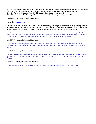- 226 240 Mageweave Bandage: Train Artisan First Aid, then make 20-30 Mageweave Bandages until you reach 240.
- 241 260 Heavy Mageweave Bandage: Make 20-30 Heavy Mageweave Bandages until you reach 260.
- 261 290 Runecloth Bandage: Make 35-45 Runecloth Bandages until you reach 290.
- 291 300 Heavy Runecloth Bandage: Make 10 Heavy Runecloth Bandages until you reach 300.

Level 36 - Time played this level: 22 minutes

New Ability: **Expose Armor** 

Expose Armor works much like a Warrior's Sunder Armor ability, reducing a target's armor, making subsequent melee attacks more effective. The two abilities don't stack, so about the only time you would consider using it is if you're in a melee-heavy group lacking in Warriors. Needless to say, this doesn't get much use as a leveling ability.

*I continue working on quests around Theramore Isle, making my way northwards in search of more quests. I don't have to search too hard, as the quests in this zone generally lead me towards more quest givers for additional quests. Upon reaching 37, I equip my Aquamarine Signet of the Monkey for another nice boost in stats.*

Level 37 - Time played this level: 25 minutes

*I finish up the remaining quests around Theramore Isle, using Elixir of Waterwalking while mounted to quickly complete my last few quests in that area. I head further north and west through Dustwallow Marsh, working on more quests.*

Level 38 - Time played this level: 30 minutes

*I hearth back to Theramore Isle and complete a few more quests there. Then I head west over to [Tabetha's Farm.](http://www.wowpedia.org/Tabetha%27s_Farm) To help with the questing/grinding of the mobs in this zone, I make sure to use my Elixir of Greater Agility and Gift of Arthas.*

Level 39 - Time played this level: 40 minutes

*I keep questing in western Dustwallow Marsh, eventually reaching [Mudsprocket](http://www.wowpedia.org/Mudsprocket) by the time I hit level 40.*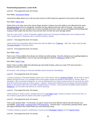# <span id="page-35-0"></span>**Powerleveling Experience: Levels 40-49**

Level 40 - Time played this level: 60 minutes

## New Ability: [Journeyman Riding](http://www.wowpedia.org/Riding)

Learning this ability allows you to ride any land mounts at 100% speed (as opposed to the previous 60% speed).

#### New Ability: [Kidney Shot](http://www.wowpedia.org/Kidney_Shot)

Kidney Shot is the other stun of the classic Rogue stunlock, however since this ability is now affected by the same [Diminishing Return](http://www.wowpedia.org/Diminishing_return) timer as Cheapshot, stunlocks are less effective than they were in the past. If you enjoy the stunlock playstyle, you can certainly rely on stuns to partially lock down mobs, but you'll probably find that killing them is going to take longer that way than if you just took them out with your pure damage attacks.

*Time for a new mount! I return to Eastvale Logging Camp to get Journeyman Riding (and a nicer looking mount). Then I hearth back to Theramore Isle to continue working on quests.* 

#### Level 41 - Time played this level: 45 minutes

*I finish up all of my Dustwallow Marsh quests then take the flight out to [Thalanaar.](http://www.wowpedia.org/Thalanaar) After that, I take a boat through [Thousand Needles](http://www.wowpedia.org/Thousand_Needles) to Raceway Ruins.*

Level 42 - Time played this level: 40 minutes

New Ability: [Feint](http://www.wowpedia.org/Feint)

Feint is one of those abilities that will get very limited use while leveling. Pop this whenever you're getting blasted by some caster's fireball effect or use it to save yourself against a Warrior's [Bladestorm](http://www.wowhead.com/spell=46924) ability in PVP.

#### New Ability: [Detect Traps](http://www.wowhead.com/spell=2836)

Detect Traps is another ability that will barely get used while leveling, unless you enjoy PVP and encounter a significant number of Hunters.

*At this point I start working on Thousand Needles quests around the Speedbarge.*

Level 43 - Time played this level: 50 minutes

*I continue working on Thousand Needles quests over on the eastern side by [Southsea Holdfast.](http://www.wowpedia.org/Southsea_Holdfast) By the time I'm about halfway through this level, I've completed most of the eastern quests and decide to head down to Tanaris. (Note: In retrospect, I don't recommend doing this, as I end up finishing all of my Tanaris quests at level 48, one level shy of the level 49 I need to be to pick up Un'Goro quests. Instead, I should have finished up the remaining Thousand Needles quests in the western half of the zone before heading down to Tanaris.) I pick up the few available quests located at [Gadgetzan,](http://www.wowpedia.org/Gadgetzan) set my hearth and head out to continue questing.*

#### Level 44 - Time played this level: 35 minutes

*I keep working on Tanaris quests, heading east over to [Lost Rigger Cove.](http://www.wowpedia.org/Lost_Rigger_Cove) Numerous pirates can be found here, so this could be a great place for players who prefer to grind mobs.*

Level 45 - Time played this level: 40 minutes

Time to pick another talent. For this level, you get to choose from three different talents that will enhance your survivability, [Cheat Death,](http://www.wowhead.com/spell=31230) [Leeching Poison](http://www.wowhead.com/spell=108211) and [Elusiveness.](http://www.wowhead.com/spell=79008) Of those three, I recommend Leeching Poison, which will replace whichever Non-Lethal Poison you were previously using.

*I continue working on quests in southeastern Tanaris around [Bootlegger Outpost](http://www.wowpedia.org/Bootlegger_Outpost) and th[e Gaping Chasm.](http://www.wowpedia.org/Gaping_Chasm)*

Level 46 - Time played this level: 35 minutes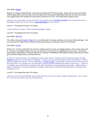#### New Ability: [Rupture](http://www.wowpedia.org/Rupture)

Rupture is a Rogue's bleed finisher, used more for raiding and PVP than leveling. Rarely will you have encounters while leveling where you'll ever get to use this ability to its full potential. Bleed effects like this and Garrote are best used against high armor targets like raid bosses and Warriors in PVP, since bleed effects bypass armor.

*I head over to northwestern Tanaris to work on some quests around [Sandsorrow Watch,](http://www.wowpedia.org/Sandsorrow_Watch) then I head back down to Bootlegger Outpost and further south to [Land's End Beach](http://www.wowpedia.org/Land%27s_End_Beach) for more quests.*

Level 47 - Time played this level: 25 minutes

*I keep questing in southern Tanaris around Bootlegger Outpost.*

Level 48 - Time played this level: 55 minutes

New Ability: [Safe Fall](http://www.wowhead.com/spell=1860)

This ability, along with [Glyph of Safe Fall,](http://www.wowhead.com/item=43378) is a nice little perk for Rogues, allowing you to reduce falling damage. Now you can leap from higher places without worrying about taking an inordinate amount of fall damage.

#### New Ability: [Garrote](http://www.wowpedia.org/Garrote)

Before 4.0.1, Garrote would often be used as a stealth opener for many non-dagger Rogues, and in many cases, still is. However, non-dagger Rogues can now use Ambush, so Garrote isn't as appealing as it once was. On the plus side, Garrote always gives a 3 second silence now, making it immediately useful against casters (previously you didn't get the Silence ability until you reached level 61).

*By the time I reach level 48, I've completed just about every quest in Tanaris except for the group quests from [Dr.](http://www.wowhead.com/npc=39034)  [Dealwell](http://www.wowhead.com/npc=39034) outside the Thunderdrome in Gagetzan. I decide to try my luck at the group quests and find that I'm able to easily complete them all solo. My next destination is [Un'Goro Crater,](http://www.wowpedia.org/Un%27Goro_Crater) unfortunately I need to be level 49 to get any of the quests there. So I decide to try out some BGs using the Random Battleground option for extra honor. I switch to my Subtlety spec and find that I can still do fairly well, but battles are slowly starting to get tougher. While waiting in queue, I head back to Thousand Needles to complete a few quests I'd left behind and also work on leveling up my Herbalism to 275.*

Level 49 - Time played this level: 35 minutes

*I finish up a few Thousand Needles quests, then head over to Un'Goro Crater to begin questing there. Once I reach 50, I return to Stormwind to train up my professions.*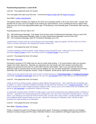# <span id="page-37-0"></span>**Powerleveling Experience: Levels 50-59**

Level 50 - Time played this level: 55 minutes

Two more glyph slots open up at this level. I recommend [Glyph of Safe Fall](http://www.wowhead.com/spell=58033) and [Glyph of Evasion.](http://www.wowhead.com/spell=56799)

New Ability: [Leather Specialization](http://www.wowhead.com/spell=86531)

This passive ability increases your Agility by 5% when you're wearing Leather in all of your armor slots. Usually, that shouldn't be an issue, but if you happen to be wearing any cloth heirlooms, now is probably the time to replace them. Keep your eye out for level-appropriate leather gear "of the Monkey" and eventually gear "of the Bandit" after reaching level 57.

Powerleveling First Aid from 300 to 375

301 - 340 Netherweave Bandage: Train Master First Aid then make 40 Netherweave Bandages until you reach 340. 341 - 350 Heavy Netherweave Bandage: Make 10 Heavy Netherweave Bandages until you reach 350. 351 - 375 Frostweave Bandage: Make 25 Frostweave Bandages up to 375.

*I hearth back to Tanaris, pick up my level 50 gear and consumables, apply new glyphs, and then return to Un'Goro Crater to continue questing in the southeastern section of that zone.*

Level 51 - Time played this level: 45 minutes

*I continue working on Un'Goro quests, slowly making my way around the zone. I make sure to turn in all of the necessary [Power Crystals](http://www.wowhead.com/search?q=Power+Crystal) so that I can create a bunch of [Crystal Charges](http://www.wowhead.com/?item=11566) to use for AoE.*

Level 52 - Time played this level: 35 minutes

#### New Ability: [Dismantle](http://www.wowhead.com/spell=51722)

Dismantle is primarily a PVP ability that can also be useful while leveling. A 10 second disarm effect can severely cripple most melee opponents. Basically any opponents who rely heavily upon their weapons (including other Rogues) are going to be shut down for a short while with this useful ability. Note: If you yourself ever become disarmed, keep in mind that there are still a few key abilities you can use while weaponless, including Fan of Knives, Dismantle, Kick, Blind, Recuperate, Evasion, Cloak of Shadows, Smoke Bomb, Sprint and Vanish/Garrote.

*I head over to the western half of the zone to work on quests based out of [Fire Plume Ridge](http://www.wowpedia.org/Fire_Plume_Ridge) and [Golakka Hot Springs,](http://www.wowpedia.org/Golakka_Hot_Springs) specifically [The Ballad of Maximillian](http://www.wowhead.com/quest=24707) quest for the very nice [Toy Windmill](http://www.wowhead.com/item=53597) trinket, which will last me well into the 60s.*

Level 53 - Time played this level: 55 minutes

*I finish up all of my Un'Goro quests, ending up about halfway through level 53. I don't relish the idea of heading over to Silithus, so I return to Eastern Kingdoms and make my way east from Darkshire over to [Swamp of Sorrows.](http://www.wowpedia.org/Swamp_of_Sorrows) Since I need to be level 54 in order to begin questing in Blasted Lands, I queue up for some random BGs and complete a few quests at [The Harborage](http://www.wowpedia.org/Harborage) in northwestern Swamp of Sorrows.*

*I'm pleasantly surprised when I find that I'm able to gain a nice chunk of experience from gathering herbs in Swamp of Sorrows. I remember this swamp being good for picking herbs, but I don't ever remember it being this good. In some areas, I can literally go non-stop from herb-to-herb-to-herb, as every time I pick an herb, I usually stumble upon one or more additional herbs located nearby on my map. Instead of continuing on to Blasted Lands, I decide to keep questing here while leveling up my Herbalism.*

Level 54 - Time played this level: 45 minutes

New Ability: [Relentless Strikes](http://www.wowhead.com/spell=58423)

Finally, a change from patch 5.0.4 Rogues should rejoice about! Previously a mandatory talent for most Rogues looking to increase energy and DPS output, Relentless Strikes is now awarded to all Rogues beginning at level 54.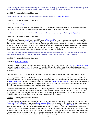*I keep working on quests in western Swamp of Sorrows while leveling up my Herbalism. Eventually I need to fly over to Redridge Mountains to visit an Herbalism Trainer to move up to the next level of Herbalism.* 

Level 55 - Time played this level: 35 minutes

*I continue working on quests in Swamp of Sorrows, heading east over to [Marshtide Watch.](http://www.wowpedia.org/Marshtide_Watch)*

Level 56 - Time played this level: 35 minutes

New Ability: [Disarm Trap](http://www.wowhead.com/spell=1842)

This ability will get used even less than Detect Traps. It's only real purpose while leveling is against Hunter traps in PVP. Just be careful not to stumble into their flare's range while trying to disarm the trap.

*I* continue working on quests in Swamp of Sorrows, eventually making my way northeast up to [Bogpaddle.](http://www.wowpedia.org/Bogpaddle)

Level 57 - Time played this level: 45 minutes

Finally, it's time for some **Bandit gear!** Level 57+ gear "of the [Bandit](http://www.wowhead.com/items=4?filter=ty=2:-3:-6:-2;minle=81;minrl=57;maxrl=59;cr=3:128;crs=1:4;crv=0:0#0+3+1)" is a really nice upgrade in stats over pre-TBC gear. You won't be able to quest in [Outland](http://www.wowpedia.org/Outland) until you're level 58, but you'll certainly be ready with some of the best pre-Outland gear available. Key Bandit items to keep an eye out for include the helm, necklace, belt, pants, bracers, gloves, rings and thrown weapon. Those items should last you for quite a while, whereas items in the other slots will be quickly replaced by superior quest rewards soon after reaching Outland. Consider enchanting some of those Bandit items for an even greater boost in stats that will last you well into Outland.

*I finish the rest of my Swamp of Sorrows quests, ending up at 365 Herbalism and 341 Skinning. Now I'm ready to head down to Blasted Lands. I begin questing in the eastern section of this zone and soon hit level 58.*

Level 58 - Time played this level: 45 minutes

New ability: [Cloak of Shadows](http://www.wowpedia.org/Cloak_of_Shadows)

Cloak of Shadows is a powerful, defensive Rogue ability, especially when enhanced with [Glyph of Cloak of Shadows.](http://www.wowhead.com/item=45769) Although this ability shines in PVP, it gets plenty of use in raiding and leveling. Note: Cloak of Shadows shares a cooldown with Combat Readiness as of patch 4.2, preventing you from abusing both effects at the same time for semiinvincibility.

From this point forward, I'll be switching into a sort of tutorial mode to help guide you through the remaining levels.

Now is a good time to head into Outland, so that you can experience The Burning Crusade expansion (free for all players as of patch 4.2). To reach Outland, fly down to Blasted Lands and then ride south to the portal that takes you to [Hellfire Peninsula.](http://www.wowpedia.org/Hellfire_Peninsula) Once you're through the portal, head over to [Honor Hold](http://www.wowpedia.org/Honor_Hold)[/Thrallmar](http://www.wowpedia.org/Thrallmar) to begin questing. Pick up all available quests and then begin making your way around the zone, starting on the eastern side as you slowly work through numerous quests that eventually lead out to the west.

Level 58 is also a great time to get back into PVP, now that you have Cloak of Shadows, so go ahead and queue up for some BGs. If you have any level 58 Bandit gear, then now would be a good time to equip those items because you're going to need the best gear you can get when you go up against Death Knights. Since their introduction in WotLK, Death Knights have always been very tough opponents in this bracket.

#### Level 59 - Time played this level: 50 minutes

Continue questing in Outland and/or leveling up in BGs. As you quest through Hellfire Peninsula, make sure you kill [Warbringer Arix'Amal](http://www.wowhead.com/npc=19298) up north, who drops [Burning Legion Missive,](http://www.wowhead.com/item=29588) a quest item which leads to another quest requiring you to defeat [Arazzius the Cruel.](http://www.wowhead.com/npc=19191) Completing that series of quests will reward you with [Bladefist's Breadth,](http://www.wowhead.com/?item=28041) a very nice burst damage trinket. You can solo Warbringer Arix'Amal, and as of patch 4.3, you can now also solo Arazzius the Cruel. Many quests that were previously group quests in Outland and Northrend have been re-tuned to allow players to complete them solo in patch 4.3. Another change to be aware of is that most dungeon questgivers for Outland and Northrend dungeons have now been moved inside the instances in patch 4.3, so the majority of dungeon quests for those two continents are now available from within their respective dungeons.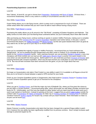# <span id="page-39-0"></span>**Powerleveling Experience: Levels 60-69**

#### Level 60

New Talents! At level 60, you get to choose from [Preparation,](http://www.wowhead.com/spell=14185) [Shadowstep](http://www.wowhead.com/spell=36554) and [Burst of Speed.](http://www.wowhead.com/spell=108212) Of those three, I recommend Shadowstep, which is very useful in a variety of circumstances and also a lot of fun.

#### New Ability: [Expert Riding](http://www.wowpedia.org/Riding)

Expert Riding allows you to ride flying mounts, which is pretty much a requirement for much of Outland. There are certain areas within that continent that you won't even be able to reach without having a flying mount.

#### New Ability: [Flight Master's License](http://www.wowhead.com/spell=90269)

Purchasing this ability allows you to fly around in the "Old World", consisting of Eastern Kingdoms and Kalimdor. This ability comes at a time when you'll be leaving those continents behind, but you'll eventually return there after level 80.

After purchasing your flying mount, continue working on quests in western Hellfire Peninsula, making sure to complete all of the quests at the [Cenarion Post](http://www.wowpedia.org/Cenarion_Post) for [Cenarion Expedition](http://www.wowpedia.org/Cenarion_Expedition) reputation (see further below). In the past, I used to recommend that players run [Hellfire Ramparts](http://www.wowpedia.org/Hellfire_Ramparts) and [Blood Furnace,](http://www.wowpedia.org/Blood_Furnace) but the rare quest rewards there aren't as good as they used to be, so don't go out of your way to run those instances

#### Level 61

Once you've completed the majority of quests in Hellfire Peninsula, I recommend that you head northwest into Zangarmarsh. As you're questing through Zangarmarsh and other zones in Outland, try to complete all available quests for the [Cenarion Expedition](http://www.wowpedia.org/Cenarion_Expedition) faction. Upon reaching Honored, you can purchase [Warden's Hauberk,](http://www.wowhead.com/?item=25838) a very nice chestpiece with three sockets you can load up with [Agility gems](http://www.wowhead.com/items=3.0?filter=minle=70;maxle=80;cr=21:166;crs=2:3;crv=12:0#0+12+1) [\(Scout's Hood](http://www.wowhead.com/?item=31658) is another nice quest reward in this zone which can also benefit from those gems). Before patch 5.0.4, you could also purchase [Arcanum of Ferocity](http://www.wowhead.com/item=29192) upon reaching Revered with Cenarion Expedition, which was the best enchant you could place on your helm during levels 70-79. But now all helm enchants have been removed from the game, so you can forget about that now.

Level 62

#### New Ability: [Fleet Footed](http://www.wowhead.com/spell=31209)

No longer an Assassination-only talent, Fleet Footed is a new ability in patch 5.0.4 available to all Rogues at level 62. Now you're not forced to choose between a speed or DPS enchant for your boots.

Finish up your Cenarion Expedition quests in Zangarmarsh, then head south to [Cenarion Thicket](http://www.wowpedia.org/Cenarion_Thicket) in [Terokkar Forest](http://www.wowpedia.org/Terokkar_Forest) for more Cenarion Expedition quests to get you to Honored for the chestpiece.

#### Level 63

When you get to [Terokkar Forest,](http://www.wowpedia.org/Terokkar_Forest) you'll find the major city hub of Shattrath City, where you'll be given the choice to join the Aldor or Scryers factions. I recommend going Aldor, which will provide you with better shoulder enchants from levels 64-79. Unfortunately, you'll find very few quests for either faction until you reach level 68 (at which point you'll want to get started on Northrend.) Instead of questing at this level, I suggest that you grind [Cabal Cultists](http://www.wowhead.com/npcs=7?filter=na=Cabal;minle=62;maxle=64) outside the northern side of [Auchindoun](http://www.wowpedia.org/Auchindoun) for [Marks of Kil'jaeden](http://www.wowhead.com/item=29425) for Aldor rep or [Firewing members](http://www.wowhead.com/npcs=7?filter=na=Firewing;minle=62;maxle=64) at [Firewing Point](http://www.wowpedia.org/Firewing_Point) in northeast Terokkar Forest for [Sunfury Signets](http://www.wowhead.com/item=30810) for Scryers rep, at least until you reach Honored. More information on Aldor vs. Scryers can be found [here.](http://www.wowpedia.org/Comparison_of_Aldor_and_Scryer_rewards)

#### Level 64

#### New Ability: [Master Poisoner](http://www.wowhead.com/spell=58410)

Master Poisoner is another Assassination-only talent that has been changed into a general Rogue ability in patch 5.0.4, however this new ability has been significantly modified from its previous versions. Now it simply increases spell damage to poisoned targets by 5%.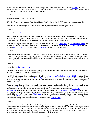At this point, either continue grinding for Marks of Kil'jaeden/Sunfury Signets or head west into [Nagrand](http://www.wowpedia.org/Nagrand) to begin questing there. Nagrand is another one of those "big game" hunting zones, much like STV and Un'Goro Crater, where you'll get plenty of kill quests and skinning opportunities.

# Level 65

Powerleveling First Aid from 376 to 400

376 - 400 Frostweave Bandage: Train Grand Master First Aid then make 25-75 Frostweave Bandages up to 400.

Keep working on those Nagrand quests, making your way north and westward through the zone.

Level 66

# New Ability: [Fan of Knives](http://www.wowpedia.org/Fan_of_Knives)

Fan of Knives is a welcome addition for Rogues, giving you much needed AoE, and now has been conveniently moved from level 80 to level 66 in patch 5.0.4. This ability has been buffed and nerfed several times, with the latest version applying poisons as well as awarding a combo point on your current combo target.

Continue working on quests in Nagrand. If you're interested in getting any [Nethercobra](http://www.wowhead.com/spell=35554) or [Cobrahide Leg Armors](http://www.wowhead.com/spell=35549) for your pants, then you may want to head over to the westernmost plateau in Nagrand called [Twilight Ridge](http://www.wowpedia.org/Twilight_Ridge) where you can skin [Twilight Serpents](http://www.wowhead.com/npc=23026) for the necessary [Cobra Scales](http://www.wowhead.com/item=29539) needed for those leg armors.

# Level 67

This is the last level that you'll want to spend in Outland, after which you'll want to move on into Northrend for better experience and quest rewards. Complete any remaining Nagrand quests you need to reach level 68 and then make your way to Northrend. Also consider picking up some inexpensive WotLK Bandit gear from the AH to replace any of your weaker items.

# Level 68

# New Ability: [Cold Weather Flying](http://www.wowpedia.org/Cold_Weather_Flying)

This ability, which costs 500 gold, will allow your flying mounts to fly in Northrend. This is pretty much a requirement for most of the Wrath of the Lich King expansion.

Now it's time to move on to the next continent, Northrend [\(WotLK is free for all players as of 9/19/12\)](http://us.battle.net/wow/en/blog/7315726/Battle_Chest_and_Wrath_of_the_Lich_King_--_Together_at_Last-9_19_2012). Northrend has two starting zones, [Borean Tundra](http://www.wowpedia.org/Borean_Tundra) and [Howling Fjord.](http://www.wowpedia.org/Howling_Fjord) Borean Tundra is generally considered to be the better starting zone due to having higher quality quest rewards. I recommend leveling up through both starting zones, starting first with Borean Tundra.

To get to Borean Tundra, Alliance players will want to take a boat from Stormwind City while Horde players will take a zeppelin from [Durotar.](http://www.wowpedia.org/Durotar) Upon reaching Borean Tundra, pick up all available quests and then begin working your way northward through the zone. If you find yourself getting stuck with no more quests around the **D.E.H.T.A.** [Encampment,](http://www.wowpedia.org/D.E.H.T.A._Encampment) it's probably because you won't be high enough level to pick up [A Mission Statement,](http://www.wowhead.com/quest=11864) a level 70 quest which eventually opens up numerous additional quests in that zone. In that case, I recommend that you either level up a bit in BGs, or do a few runs through [The Nexus,](http://www.wowpedia.org/The_Nexus_%28instance%29) a relatively easy instance located in the northwest section of Borean Tundra, called [Coldarra.](http://www.wowpedia.org/Coldarra) You can get several rare quest rewards from that instance that will be very useful. Or, if you'd rather keep questing, then get an early start on your next zone, [Howling Fjord.](http://www.wowpedia.org/Howling_Fjord)

# Level 69

Continue questing in Borean Tundra and/or leveling up in BGs. As you keep questing, you'll find that Borean Tundra, Coldarra and The Nexus will provide you with numerous gear upgrades. Many of those upgrades will last you well into your mid-to-late 70s, so it's really worth your time to complete every available quest in those areas before moving on to the next zone. If you have trouble joining a Nexus run, then try creating a group yourself. Even if you avoid every other instance in early Northrend while leveling, try not to skip The Nexus.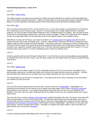# <span id="page-41-0"></span>**Powerleveling Experience: Levels 70-79**

Level 70

# New Ability: [Artisan Riding](http://www.wowhead.com/spell=34091)

This ability increases your flying mount speed up to 280% and costs 5,000 gold (or as little as 4,000 gold depending upon certain faction reputation discounts). I highly recommend that you save up the gold needed to upgrade to Artisan Riding, or you'll be spending a frustrating amount of time slowly flying around Northrend completing quests.

## New Ability: [Shiv](http://www.wowpedia.org/Shiv)

Shiv is a useful tool primarily for PVP, and as of patch 5.0.4, it is now used to apply a concentrated form of whichever Non-Lethal poison you're currently using. However, now that poisons are no longer applied directly to individual weapons, you won't be able to swap offhand weapons to Shiv on different poisons as needed. Shiv can also be used to land hits on another Rogue using Evasion, since Shiv cannot be dodged. Finally, don't forget about Shiv's ability to remove an Enrage effect which can be especially useful in PVE against certain 5-man dungeon bosses.

After Borean Tundra and The Nexus, you'll want to continue on to [Howling Fjord](http://www.wowpedia.org/Howling_Fjord) and [Utgarde Keep](http://www.wowpedia.org/Utgarde_Keep) (the low level instance located in the center of Howling Fjord). However, unlike Borean Tundra and The Nexus, Howling Fjord and Utgarde Keep only offer a handful of decent upgrades. The primary reason for continuing on to level in Howling Fjord is that you'll have an easier time overall since you'll be leveling through another one of Northrend's starting zones. On a positive note, experience needed to gain levels from 71-80 was reduced by approximately 33% in patch 4.3, so you should be able to get a good 4 or 5 levels completing quests in these two starting zones.

#### Level 71

Continue questing north and west through Howling Fjord. If you find that you're have trouble getting a group together for Utgarde Keep, then feel free to skip it, since the quest rewards are only slightly better than gear you should already have by then.

Level 72

# New Ability: [Shadow Walk](http://www.wowhead.com/spell=114842)

Shadow Walk is a new ability in patch 5.0.4 that is especially handy for PVP, but it can also be very helpful to you while leveling, allowing you to stealth past higher level enemies that might otherwise cause you problems. Combine that with Sprint and Vanish and you shouldn't have any problem sneaking your way around tough areas.

This will probably be your last level in Howling Fjord. Try to finish up all of the various questlines in this zone before you continue on to the next zone.

#### Level 73

Once you have the two starting zones out of the way, it's time to move on to [Dragonblight.](http://www.wowpedia.org/Dragonblight) Dragonblight is an interesting zone that gives you the chance to use a special, fast flying dragon mount called a [Wyrmrest Vanquisher](http://www.wowpedia.org/Wyrmrest_Vanquisher) during portions of your journey. If you already have Artisan Flying, then this won't be much of a change for you. However, if you don't, then you'll get a really good feel for the speed at which you can complete quests when using a faster mount.

This zone also has a number of [quests to kill unique mobs](http://www.wowhead.com/quests=10.65?filter=na=Wanted) scattered throughout the zone. Previously, these were elite mobs, but since patch 4.3, they're just normal mobs. You should be able to solo most of those quests, but if you're having trouble, feel free to group up with another player in that zone. Dragonblight also contains two group instances, [Azjol-Nerub](http://www.wowpedia.org/Azjol-Nerub) and [Ahn'kahet: The Old Kingdom,](http://www.wowpedia.org/Ahn%27kahet:_The_Old_Kingdom) both located in western Dragonblight. Azjol-Nerub is a very quick and easy instance, with two possible quest rewards. Ahn'kahet is a tougher and longer instance, which only offers one quest reward, but it's a nice set of [shoulders.](http://www.wowhead.com/item=44351)

#### Level 74

Continue questing through Dragonblight and/or the two instances located there.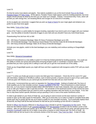#### Level 75

It's time for some more talents and glyphs. New talents available to you at this level include [Prey on the Weak,](http://www.wowhead.com/spell=131511) [Paralytic Poison](http://www.wowhead.com/spell=108215) and [Dirty Tricks.](http://www.wowhead.com/spell=108216) At first glance, Paralytic Poison might appear useful for leveling purposes, but most targets should already be dead by the time you can stack up 5 charges, Instead, I recommend Dirty Tricks, which will provide you with energy-free, non-breaking Blinds and Gouges for an extra bit of versatility.

As far as glyphs are concerned, I suggest that you pick up [Glyph of Sprint](http://www.wowhead.com/spell=56811) for your major glyph and whatever you prefer for your final minor glyph.

#### New Ability: [Tricks of the Trade](http://www.wowpedia.org/Tricks_of_the_Trade)

Tricks of the Trade is a useful ability for dungeon leveling, especially if you tend to pull a lot of aggro with your twinked gear. Use this ability to transfer 6 seconds of aggro to your tank and you shouldn't have any more threat issues.

Powerleveling First Aid from 401 to 500

401 - 425 Heavy Frostweave Bandage: Make 25 Heavy Frostweave Bandages up to 425. 426 - 475 Embersilk Bandage: Train Illustrious Grand Master First Aid then make 65-80 Embersilk Bandages 476 - 500 Heavy Embersilk Bandage: Make 25-35 Heavy Embersilk Bandages

Activate your new glyphs, switch to the best bandages you can make/buy and continue working on Dragonblight quests.

Level 76

#### New Ability: [Shroud of Concealment](http://www.wowhead.com/spell=114018)

Shroud of Concealment is a new ability in patch 5.0.4 that has limited potential for leveling purposes. You could use this ability to sneak your group past particularly annoying dungeon pulls or coordinate a surprise attack in PVP, provided that you have a group who is willing to work with you to get the most benefit out of this ability.

Finish up any Dragonblight quests you might still have and then supplement with dungeons and/or PVP until you reach level 77.

#### Level 77

Level 77 is when you finally get access to some nice BoE gear from Cataclysm. Check the AH for Level 272+ gear with Stormblast, Galeburst or Windflurry suffixes, each of which provide a massive amount in each of four useful stats. Avoid any gear with Mastery as you cannot get any benefit from that stat until you reach level 80.

At this point, I recommend that you work on reputation for [The Sons of Hodir.](http://www.wowpedia.org/Sons_of_Hodir) Getting to Exalted with The Sons of Hodir qualifies you for their shoulder enchant, [Greater Inscription of the Axe.](http://www.wowhead.com/item=50335) That enchantment is a BoA heirloom item now, so if you haven't reached Exalted status with that faction on your main character, then you're going to want to do so with your Rogue in order to get that enchant. The remainder of the Northrend section of this tutorial has been written under the assumption that you intend to work on getting reputation with that faction on your Rogue. If not, feel free to skip these faction-specific directions and go questing in one or more of the easier Northrend zones.

In order to get started on your Sons of Hodir rep, you're going to want to knock out the bare minimum number of quests to open up the daily quests for that faction. After you've done that, try to make it a habit to complete those daily quests each day to quickly get the rep you'll need to qualify for your shoulder enchants. You'll eventually replace them at level 85, but they'll still be the best enchants for that slot as you're leveling up from 80-85 in Cataclysm.

Speak to [Officer Van Rossem](http://www.wowhead.com/?npc=31081) (Alliance) or [Sky-Reaver Klum](http://www.wowhead.com/?npc=31085) (Horde) to get the [Preparations for War](http://www.wowhead.com/?search=Preparations+for+War) quest. Then, head into the Dalaran sewers to get [Luxurious Getaway!](http://www.wowhead.com/?quest=12853) from [Rin Duoctane](http://www.wowhead.com/?npc=30490) (located in the far western corner of the sewers). After you get these two quests, go to The Storm Peaks. Once you reach the K3 camp, get both quests from [Gretchen Fizzlespark](http://www.wowhead.com/?npc=29473) inside the Inn to begin a long series of quests to reach Neutral with The Sons of Hodir. An excellent write-up can be found in the comments section of the first quest, [They Took Our Men!.](http://www.wowhead.com/?quest=12843) A total of 6 daily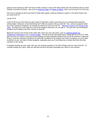quests can be opened up with The Sons of Hodir, however, some of the daily quests won't be unlocked until you reach Friendly, Honored & Revered. Also, look for [Everfrost Chips](http://www.wowhead.com/?item=44725) and [Relics of Ulduar,](http://www.wowhead.com/?item=42780) which can be turned in for extra rep.

Once you've opened up all of your Sons of Hodir daily quests, continue working on quests in The Storm Peaks until you reach level 78.

Levels 78-79

Level 78 will be your first chance to get a taste of Cataclysm content, assuming you've purchased that expansion. Unfortunately, Cataclysm zones themselves don't offer any quests until you reach 80. But, contrary to popular belief, two of the Cataclysm dungeons can actually be entered as soon as Level 78 - - [Blackrock Caverns](http://www.wowpedia.org/Blackrock_Caverns) and [Throne of the](http://www.wowpedia.org/Throne_of_the_Tides)  [Tides.](http://www.wowpedia.org/Throne_of_the_Tides) As long as you can make your way to the dungeon entrances, you can get in. You just can't use the Random Dungeon tool to teleport into them until you're level 80.

Blackrock Caverns and Throne of the Tides offer some very nice rare drops, such as [Lightning Whelk Axe,](http://www.wowhead.com/item=55203) [Steelbender's Masterpiece](http://www.wowhead.com/item=55272) and [Toxidunk Dagger.](http://www.wowhead.com/item=55790) Picking up those high quality items, along with the Level 272+ BoE gear from the AH, will go a long way towards getting your gear prepared ahead of time for 80-85 leveling in Cataclysm. Keep in mind that Cataclysm dungeons are generally considered to be tougher than WotLK dungeons, so you'll need to perform at your very best in those dungeons, especially since you'll most likely be at a lower level than the other members in your group.

If dungeon leveling isn't your style, then you can continue questing in The Storm Peaks until you reach level 80. Or, consider leveling up in BGs, while you still have the level and gear advantage over others in your bracket.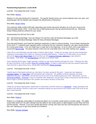# <span id="page-44-0"></span>**Powerleveling Experience: Levels 80-85**

Level 80 - Time played this level: 3 hours

#### New Ability: [Mastery](http://www.wowpedia.org/Mastery)

Mastery is a new stat introduced in Cataclysm. The specific Mastery bonus you receive depends upon your spec, and acquiring gear with the Mastery stat increases the effectiveness of that bonus.

## New ability: [Master Riding](http://www.wowhead.com/spell=90265)

This expensive ability (4,000-5,000 gold, depending upon faction discounts) will allow you to fly your mount at the fastest possible speed, 310%. If you have tons of gold laying around, then go ahead and pick this up. Otherwise, Artisan Riding should be sufficient for your needs.

## Powerleveling First Aid from 501 to 600

501 - 550 Windwool Bandage: Train Zen Master First Aid then make 50 Windwool Bandages up to 550. 551 - 600 Heavy Windwool Bandage: Make 50 Heavy Windwool Bandages.

From this point forward, you'll need the Cataclysm expansion in order to continue leveling. If you've been checking the AH for level 77+ Cataclysm gear upgrades and/or running the first two Cataclysm dungeons, your gear should already be in pretty good shape. If not, you might have a rough start in the beginning. As far as which zone to get started in, I recommend [Mount Hyjal.](http://www.wowpedia.org/Mount_Hyjal) The quest rewards in that zone are a tad better than in the other starting zone, [Vashj'ir.](http://www.wowpedia.org/Vashj%27ir)

*I dust off my Level 80 Rogue and get ready to head to Mount Hyjal. I empty out my bags, pick up some inexpensive Cataclysm consumables and respec for maximum leveling effectiveness. I head over to Stormwind, set my hearth, pick up the [Hero's Call: Mount Hyjal!](http://www.wowhead.com/quest=27726) quest and then go visit [Cenarion Emissary Jademoon](http://www.wowhead.com/npc=15187) to get ported to Moonglade. From there, I get [As Hyjal Burns](http://www.wowhead.com/quest=25316) and head out to Mount Hyjal.*

Upon reaching Mount Hyjal, I begin questing, making my way slowly westward through the zone. Following the step*by-step instructions of the excellent [Wow-Pro Leveling Addon,](http://wow-pro.com/addon) I'm able to easily find my way from quest to quest and reach level 81 in about three hours, shortly after reaching the [Shrine of Aviana.](http://www.wowpedia.org/Shrine_of_Aviana)* 

#### Level 81 - Time played this level: 4 hours

*I hearth back to Stormwind and pick up a few items I've been saving for this point. I equip two new weapons -- [Carnelian Spikes](http://www.wowhead.com/item=52492) and [Trek's Shiv,](http://www.wowhead.com/item=66956) both enchanted with Avalanche. The addition of those weapons will vastly outperform the gear I had before, and will last me for the rest of my leveling experience to 85. Afterwards, I use my [Dimensional Ripper -](http://www.wowhead.com/item=18984) Everlook to return to Kalimdor (Non-Engineers can just grab a boat to Darnassus) and fly back to Mount Hyjal to continue questing in the southern and eastern sections of that zone.*

#### Level 82 - Time played this level: 5 hours

*I finish up my Mount Hyjal quests, hearth back to Stormwind, and then head out to [Deepholm.](http://www.wowpedia.org/Deepholm) I begin questing in the southern and western sections of that zone, eventually making my way around to the northern side of the zone by the time I reach level 83.*

Level 83 - Time played this level: 6 hours

#### New Ability: [Redirect](http://www.wowhead.com/spell=73981)

Redirect is a marginally useful ability for leveling that allows you to transfer combo points to another target. This ability would really stand out if we didn't already have the ability to use combo points on dead targets to power Slice and Dice and Recuperate. However, if you have Deadly Momentum running, then Slice and Dice and Recuperate will renew on their own, allowing you to get more benefit out of Redirect.

New Ability: [Crimson Tempest](http://www.wowhead.com/spell=121411)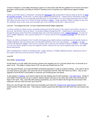Crimson Tempest is a new ability introduced in patch 5.0.4 that works well with the updated Fan of Knives (now that it generates combo points), providing an AoE/DoT finishing move to maximize your effectiveness against multiple targets.

*I finish up all of the quests in Deepholm, including the [Therazane](http://www.wowpedia.org/Therazane_%28faction%29) daily quests that I'll need to build up rep for my [level](http://www.wowhead.com/search?q=Inscription+of+Shattered+Crystal)  [85 shoulder enchants.](http://www.wowhead.com/search?q=Inscription+of+Shattered+Crystal) At this point, I'm about about halfway through level 83. I hearth back to Stormwind, empty out my bags, check the AH for any especially good BoE gear or consumables in my level range (especially new iLvl 364+ MoP gear) and then head out to Tanaris to begin questing in [Uldum.](http://www.wowpedia.org/Uldum) I begin questing in Uldum, making my way from the northeast, down to the south and eventually over to the southwest by the time I reach level 84.*

#### Level 84 - Time played this level: 10 hours (Uldum/Stormwind/Twilight Highlands)

*I continue working on Uldum quests, eventually clearing out all of the quests in the western and northern sections of the zone. By the time I finish up Uldum, I'm at about halfway through level 84. I hearth back to Stormwind and go through the quest series there that eventually leads me to the final Cataclysm zone, [Twilight Highlands.](http://www.wowpedia.org/Twilight_Highlands) As soon as I*  reach Twilight Highlands, I join a group looking for a 5<sup>th</sup> person and fly to the **Crucible of Carnage** near the center of *the zone.*

*Players are able to participate in the Crucible of Carnage group battles without completing any prerequisite quests in Twilight Highlands and can quickly earn over 500,000 experience and a nice rare weapon - - a [dagger](http://www.wowhead.com/item=63792) or an [axe.](http://www.wowhead.com/item=63788) I recommend taking the dagger, even if you're Combat, just in case you ever decide to switch to Mutilate. That dagger is a very nice starter weapon to have for endgame content, whereas the axe can be replaced with one or two other decent alternatives.*

*After completing the Crucible of Carnage quests, I begin working on Twilight Highlands quests, clearing out most of the eastern half of the zone by the time I finally reach 85.*

#### Level 85

#### New Ability: [Smoke Bomb](http://www.wowhead.com/spell=76577)

Smoke Bomb is an AoE ability that prevents enemies from targeting you for 5 seconds (down from 10 seconds as of patch 4.0.6). This ability is mainly used in PVP, but also has limited uses for PVE.

From this point forward, you'll need the Mists of Pandaria expansion in order to continue leveling. If you want to fill out any weak areas in your gear, then check the AH for inexpensive level 83+ BoE MoP items (iLvl 364+). Also try and upgrade to level 85 MoP consumables to maximize your leveling power and speed.

To get started in [Pandaria,](http://www.wowpedia.org/Pandaria) you'll want to head to the only starting zone for this expansion, [The Jade Forest.](http://www.wowpedia.org/The_Jade_Forest) Similar to how Hellfire Peninsula was set up in Outland, Alliance players will start on the south side of the zone and Horde will begin in the north. Also, much like with previous expansions, you won't be able to fly through the new zones in this expansion until you reach the level cap at level 90.

Work your way through The Jade Forest and eventually you'll reach the [Temple of the Jade Serpent](http://www.wowpedia.org/Temple_of_the_Jade_Serpent) located in the eastern portion of that initial zone. That instance contains quests that will reward you with some nice rare bracers and pants.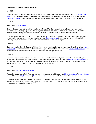# <span id="page-46-0"></span>**Powerleveling Experience: Levels 86-90**

#### Level 86

Finish up quests in The Jade Forest and Temple of the Jade Serpent and then head west to the Valley of the Four [Winds.](http://www.wowpedia.org/Valley_of_the_Four_Winds) You'll generally work your way west and south through this zone until you reach the next 5-man dungeon, [Stormstout Brewery.](http://www.wowpedia.org/Stormstout_Brewery) That dungeon has several quests that will reward you with a rare helm, cloak and gloves.

#### Level 87

New Ability: [Shadow Blades](http://www.wowhead.com/spell=121471)

Shadow Blades is a great new ability introduced in Mists of Pandaria which is used to bypass armor on tough enemies, while providing a quick boost to your generation of combo points. This ability synergizes best with the abilities of Combat Rogues and pairs especially well with Adrenaline Rush for maximum burst potential.

Continue working on quests in Valley of the Four Winds and Stormstout Brewery. Eventually you'll get to the point where you'll need to choose your next zone for leveling. [Krasarang Wilds](http://www.wowpedia.org/Krasarang_Wilds) to the south is a good choice, offering relatively easy quests and mobs for your level compared to the other remaining zones.

## Level 88

Continue questing through Krasarang Wilds. Once you've completed that zone, I recommend heading north to [Kun-](http://www.wowpedia.org/Kun-Lai_Summit)[Lai Summit.](http://www.wowpedia.org/Kun-Lai_Summit) In the northwestern section of that zone, you'll find another 5-man dungeon, [Shado-Pan Monastery.](http://www.wowpedia.org/Shado-Pan_Monastery) That instance has two quests that provide you with rare helm and belt quest rewards.

## Level 89

Finish working on quests in Kun-Lai Summit and Shado-Pan Monastery until you reach level 90. Eventually, you should open up quests in that zone which will need to be completed in order to enter the Vale [of Eternal Blossoms.](http://www.wowpedia.org/Vale_of_Eternal_Blossoms) If you run out of quests in Kun-Lai Summit, then keep running Shado-Pan Monastery a few more times, or consider doing some PVP at the top of the 85-89 level bracket until you hit 90.

Level 90

New Ability: [Wisdom of the Four Winds](http://www.wowhead.com/spell=115913)

This ability allows you to fly in Pandaria and can be purchased for 2,500 gold from [Cloudrunner Leng](http://www.wowhead.com/npc=60166) (Shrine of Seven [Stars](http://www.wowpedia.org/Shrine_of_Seven_Stars) - Alliance) or [Skydancer Shun](http://www.wowhead.com/npc=60167) [\(Shrine of Two Moons](http://www.wowpedia.org/Shrine_of_Two_Moons) - Horde) in the Vale of Eternal Blossoms.

Congratulations on reaching Level 90! From this point forward, I recommend that you start running level 90 5-man dungeons and eventually Heroic dungeons to get yourself geared up for raiding. And of course, Battlegrounds will be your avenue to gear up for endgame PVP.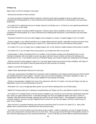# <span id="page-47-0"></span>**Change Log**

Major Patch 5.0.4/5.0.5 changes to this guide:

- Removed all mention of helm enchants

- As of the new Mists of Pandaria (MoP) expansion, heirloom pants will be available to those in guilds who have completed the Working Better as a Team achievement by obtaining 600 skill points in all professions and secondary professions.

- As of patch 5.0.4, gathering tools are no longer required, but still give you a +10 bonus to your gathering professions if you have them in your bags.

- As of the new Mists of Pandaria (MoP) expansion, heirloom pants will be available to those in guilds who have completed the Working Better as a Team achievement by obtaining 600 skill points in all professions and secondary professions.

- Sharpened Scarlet Kris and most other daggers were changed to a slower 1.8 speed dagger in the 5.0.4 patch

- Having a dagger in your offhand will allow you to apply offhand poisons quicker, especially now that all poisons have been changed to percentage-based procs in patch 5.0.4, rather than the old Procs-Per-Minute (PPM) system.

- As of patch 5.0.4, you no longer have a ranged weapon slot, so the heirloom ranged weapons will provide no benefit.

- As of patch 5.0.4, you no longer have to buy poisons, you simply learn them as you level.

- Unfortunately, in Mists of Pandaria there is no mailbox in the Pandaren starting zone (Wandering Isle), so new Pandaren characters will not be able to receive any gear until they choose a faction and leave the starting zone (around level 10-15). If you decide to level up a Pandaren Rogue, you'll need to adjust your shopping list accordingly.

- With the removal of prime glyphs in patch 5.0.4, the early glyph choices have become fairly simplified, with Glyph of Deadly Momentum and Glyph of Blurred Speed being the clear favorites for leveling.

- Added a Level 85-90 Shopping List

- Added Talent Specialization Bonuses for each spec

- In the past, Assassination benefitted from having the useful combination of the talents Quickening (now Fleet Footed) and Deadly Momentum (now a glyph). However, those are now both available to all Rogues regardless of spec, so Assassination doesn't really offer many unique abilities for the purposes of leveling.

- Similar to Assassination, Subtlety lost some of its uniqueness with the 5.0.4 patch, now that any Rogue can pick up Nightstalker at level 15 and Shadowstep at level 60.

- With patch 5.0.4, you no longer get talent points, but you'll still be selecting from one of three specs.

- Battle Pet Training really has no bearing on powerleveling your Rogue, but it's a new feature in patch 5.0.4, so enjoy.

- As of patch 5.0.4, Deadly Poison is the first poison available to you at level 10, but it has been significantly improved. Now, when you apply Deadly Poison, it still deals damage over time, but additional attacks will have a chance to "instantly" deal extra poison damage, replacing the need for the old Instant Poison. One application of poisons will coat both weapons, and once you get Crippling Poison at level 20, you can also apply a 2nd Non-Lethal Poison to each of your weapons.

- Slice and Dice is a powerful finishing move that was moved from level 22 to level 14 in patch 5.0.4. Many other abilities were moved forward or backward from their previous levels.

- As of patch 5.0.4, level 15 will be your first chance to pick a talent. Unlike in Cataclysm, you are no longer forced to stick to any particular tree, because there are no more trees. Now you just choose the best of three talents at each 15 level interval, depending upon your personal preferences. Level 15 will offer you three different stealth-based talents,